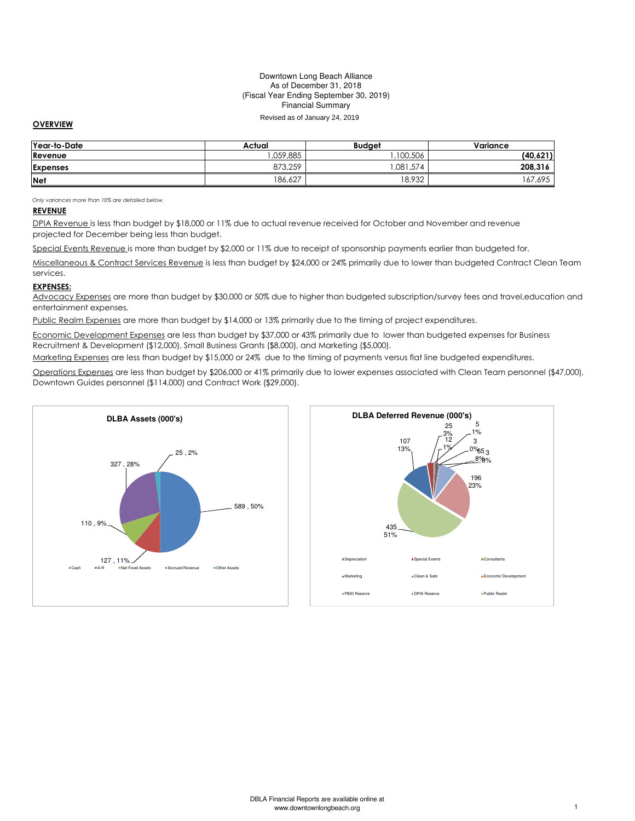### Downtown Long Beach Alliance As of December 31, 2018 (Fiscal Year Ending September 30, 2019) Financial Summary

## Revised as of January 24, 2019

## OVERVIEW

| Year-to-Date    | Actual   | <b>Budaet</b> | Variance |
|-----------------|----------|---------------|----------|
| Revenue         | .059.885 | 100,506       | (40,621) |
| <b>Expenses</b> | 873,259  | ,081,574      | 208,316  |
| <b>Net</b>      | 186,627  | 18,932        | 67,695   |

Only variances more than 10% are detailed below.

## REVENUE

DPIA Revenue is less than budget by \$18,000 or 11% due to actual revenue received for October and November and revenue projected for December being less than budget.

Special Events Revenue is more than budget by \$2,000 or 11% due to receipt of sponsorship payments earlier than budgeted for.

Miscellaneous & Contract Services Revenue is less than budget by \$24,000 or 24% primarily due to lower than budgeted Contract Clean Team services.

#### EXPENSES:

Advocacy Expenses are more than budget by \$30,000 or 50% due to higher than budgeted subscription/survey fees and travel,education and entertainment expenses.

Public Realm Expenses are more than budget by \$14,000 or 13% primarily due to the timing of project expenditures.

Economic Development Expenses are less than budget by \$37,000 or 43% primarily due to lower than budgeted expenses for Business Recruitment & Development (\$12,000), Small Business Grants (\$8,000), and Marketing (\$5,000).

Marketing Expenses are less than budget by \$15,000 or 24% due to the timing of payments versus flat line budgeted expenditures.

Operations Expenses are less than budget by \$206,000 or 41% primarily due to lower expenses associated with Clean Team personnel (\$47,000), Downtown Guides personnel (\$114,000) and Contract Work (\$29,000).



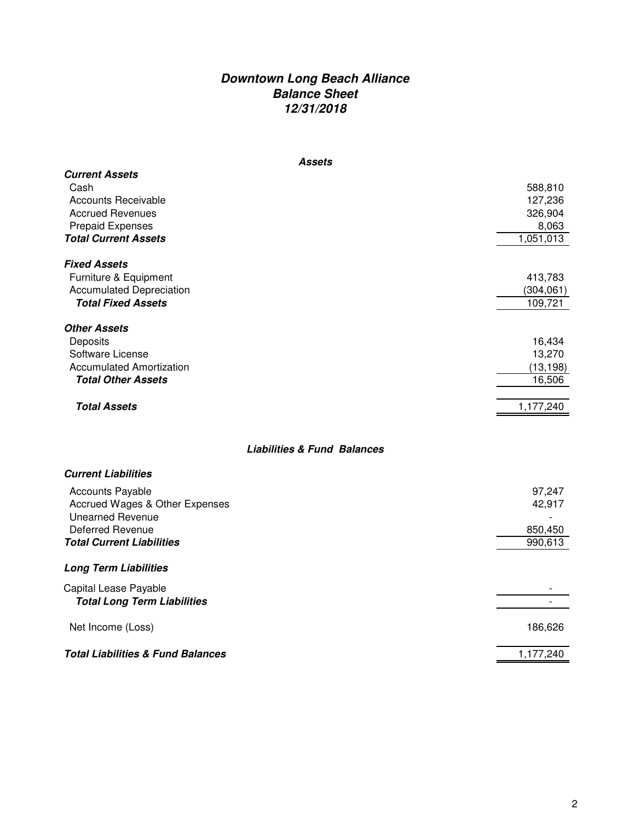# **Downtown Long Beach Alliance Balance Sheet 12/31/2018**

| <b>Assets</b>                                                                                                                                    |                                                     |
|--------------------------------------------------------------------------------------------------------------------------------------------------|-----------------------------------------------------|
| <b>Current Assets</b><br>Cash<br><b>Accounts Receivable</b><br><b>Accrued Revenues</b><br><b>Prepaid Expenses</b><br><b>Total Current Assets</b> | 588,810<br>127,236<br>326,904<br>8,063<br>1,051,013 |
| <b>Fixed Assets</b><br>Furniture & Equipment<br><b>Accumulated Depreciation</b><br><b>Total Fixed Assets</b>                                     | 413,783<br>(304, 061)<br>109,721                    |
| <b>Other Assets</b><br>Deposits<br>Software License<br><b>Accumulated Amortization</b><br><b>Total Other Assets</b>                              | 16,434<br>13,270<br>(13, 198)<br>16,506             |
| <b>Total Assets</b>                                                                                                                              | 1,177,240                                           |
| <b>Liabilities &amp; Fund Balances</b>                                                                                                           |                                                     |
| <b>Current Liabilities</b>                                                                                                                       |                                                     |
| <b>Accounts Payable</b><br>Accrued Wages & Other Expenses<br><b>Unearned Revenue</b><br>Deferred Revenue<br><b>Total Current Liabilities</b>     | 97,247<br>42,917<br>850,450<br>990,613              |
|                                                                                                                                                  |                                                     |
| <b>Long Term Liabilities</b>                                                                                                                     |                                                     |
| Capital Lease Payable<br><b>Total Long Term Liabilities</b>                                                                                      |                                                     |
| Net Income (Loss)                                                                                                                                | 186,626                                             |
| <b>Total Liabilities &amp; Fund Balances</b>                                                                                                     | 1,177,240                                           |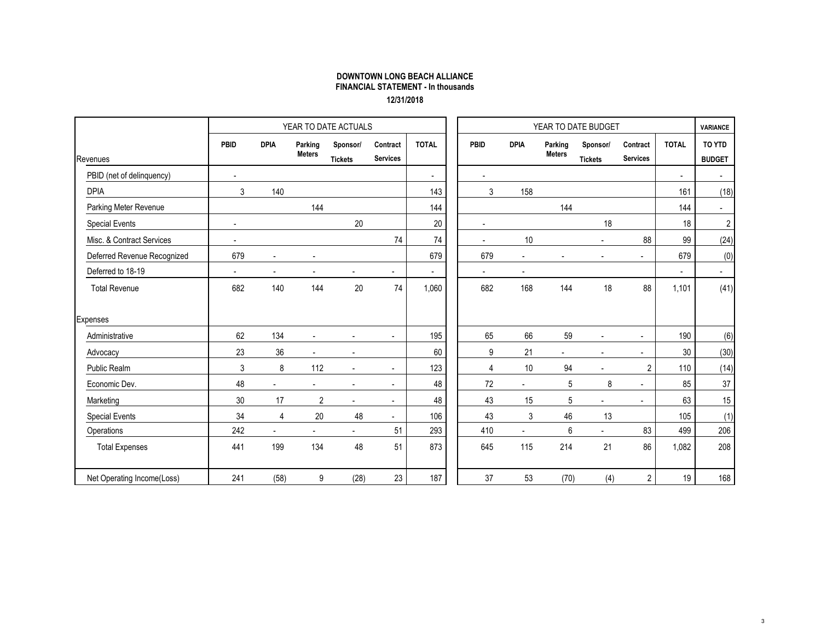## DOWNTOWN LONG BEACH ALLIANCE FINANCIAL STATEMENT - In thousands12/31/2018

|                             |                |                          |                          | YEAR TO DATE ACTUALS       |                             |                |                |                |                          | YEAR TO DATE BUDGET        |                             |              | <b>VARIANCE</b>         |
|-----------------------------|----------------|--------------------------|--------------------------|----------------------------|-----------------------------|----------------|----------------|----------------|--------------------------|----------------------------|-----------------------------|--------------|-------------------------|
| Revenues                    | <b>PBID</b>    | <b>DPIA</b>              | Parking<br><b>Meters</b> | Sponsor/<br><b>Tickets</b> | Contract<br><b>Services</b> | <b>TOTAL</b>   | PBID           | <b>DPIA</b>    | Parking<br><b>Meters</b> | Sponsor/<br><b>Tickets</b> | Contract<br><b>Services</b> | <b>TOTAL</b> | TO YTD<br><b>BUDGET</b> |
| PBID (net of delinquency)   | $\mathbf{r}$   |                          |                          |                            |                             | $\sim$         | $\blacksquare$ |                |                          |                            |                             | $\sim$       | ÷.                      |
| <b>DPIA</b>                 | 3              | 140                      |                          |                            |                             | 143            | 3              | 158            |                          |                            |                             | 161          | (18)                    |
| Parking Meter Revenue       |                |                          | 144                      |                            |                             | 144            |                |                | 144                      |                            |                             | 144          | $\sim$                  |
| <b>Special Events</b>       | $\mathbf{r}$   |                          |                          | 20                         |                             | 20             | $\blacksquare$ |                |                          | 18                         |                             | 18           | $\boldsymbol{2}$        |
| Misc. & Contract Services   | $\blacksquare$ |                          |                          |                            | 74                          | 74             |                | 10             |                          | $\blacksquare$             | 88                          | 99           | (24)                    |
| Deferred Revenue Recognized | 679            | $\blacksquare$           |                          |                            |                             | 679            | 679            | ÷,             |                          |                            | ä,                          | 679          | (0)                     |
| Deferred to 18-19           | $\blacksquare$ | $\overline{\phantom{a}}$ |                          | $\overline{a}$             | $\overline{\phantom{a}}$    | $\blacksquare$ | $\blacksquare$ | $\blacksquare$ |                          |                            |                             | $\sim$       | $\blacksquare$          |
| <b>Total Revenue</b>        | 682            | 140                      | 144                      | 20                         | 74                          | 1,060          | 682            | 168            | 144                      | 18                         | 88                          | 1,101        | (41)                    |
| <b>Expenses</b>             |                |                          |                          |                            |                             |                |                |                |                          |                            |                             |              |                         |
| Administrative              | 62             | 134                      | $\sim$                   | $\blacksquare$             | $\sim$                      | 195            | 65             | 66             | 59                       | $\blacksquare$             | $\blacksquare$              | 190          | (6)                     |
| Advocacy                    | 23             | 36                       |                          | $\overline{a}$             |                             | 60             | 9              | 21             | $\sim$                   | $\blacksquare$             | ä,                          | 30           | (30)                    |
| Public Realm                | 3              | 8                        | 112                      | $\blacksquare$             | $\overline{a}$              | 123            | 4              | 10             | 94                       |                            | $\overline{2}$              | 110          | (14)                    |
| Economic Dev.               | 48             | ä,                       | $\blacksquare$           | $\overline{a}$             | $\overline{\phantom{a}}$    | 48             | 72             | $\overline{a}$ | $\mathbf 5$              | 8                          | ä,                          | 85           | 37                      |
| Marketing                   | 30             | 17                       | $\overline{2}$           | $\blacksquare$             | $\sim$                      | 48             | 43             | 15             | 5                        | $\blacksquare$             | $\blacksquare$              | 63           | 15                      |
| <b>Special Events</b>       | 34             | $\overline{4}$           | 20                       | 48                         | $\blacksquare$              | 106            | 43             | 3              | 46                       | 13                         |                             | 105          | (1)                     |
| Operations                  | 242            | $\blacksquare$           | $\blacksquare$           | $\blacksquare$             | 51                          | 293            | 410            | $\blacksquare$ | 6                        | ÷.                         | 83                          | 499          | 206                     |
| <b>Total Expenses</b>       | 441            | 199                      | 134                      | 48                         | 51                          | 873            | 645            | 115            | 214                      | 21                         | 86                          | 1,082        | 208                     |
| Net Operating Income(Loss)  | 241            | (58)                     | 9                        | (28)                       | 23                          | 187            | 37             | 53             | (70)                     | (4)                        | $\overline{2}$              | 19           | 168                     |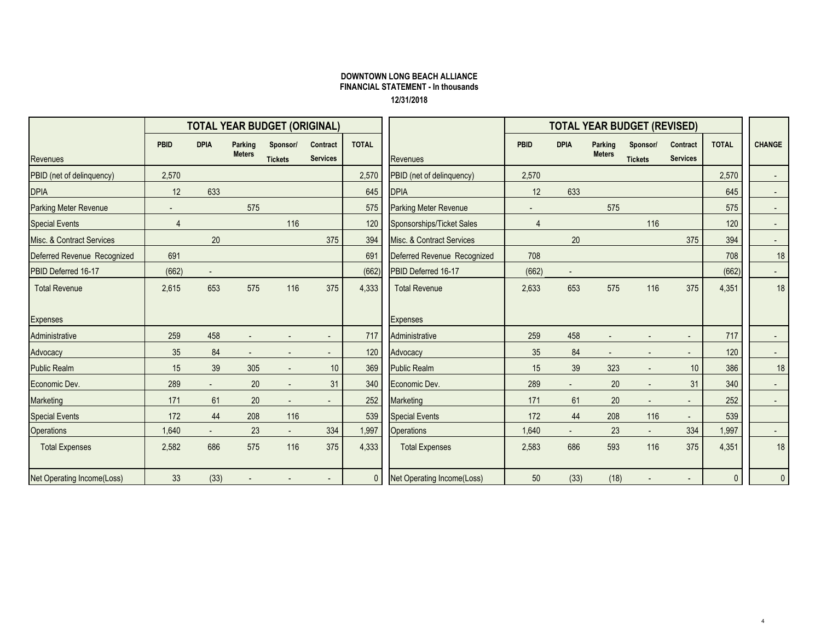## DOWNTOWN LONG BEACH ALLIANCE FINANCIAL STATEMENT - In thousands12/31/2018

|                                   |                |                          |                          | <b>TOTAL YEAR BUDGET (ORIGINAL)</b> |                             |                |                                   | <b>TOTAL YEAR BUDGET (REVISED)</b> |                |                          |                            |                             |              |                            |
|-----------------------------------|----------------|--------------------------|--------------------------|-------------------------------------|-----------------------------|----------------|-----------------------------------|------------------------------------|----------------|--------------------------|----------------------------|-----------------------------|--------------|----------------------------|
| <b>Revenues</b>                   | <b>PBID</b>    | <b>DPIA</b>              | Parking<br><b>Meters</b> | Sponsor/<br><b>Tickets</b>          | Contract<br><b>Services</b> | <b>TOTAL</b>   | <b>Revenues</b>                   | <b>PBID</b>                        | <b>DPIA</b>    | Parking<br><b>Meters</b> | Sponsor/<br><b>Tickets</b> | Contract<br><b>Services</b> | <b>TOTAL</b> | <b>CHANGE</b>              |
| PBID (net of delinquency)         | 2,570          |                          |                          |                                     |                             | 2,570          | PBID (net of delinquency)         | 2,570                              |                |                          |                            |                             | 2,570        | $\sim$                     |
| <b>DPIA</b>                       | 12             | 633                      |                          |                                     |                             | 645            | <b>DPIA</b>                       | 12                                 | 633            |                          |                            |                             | 645          | $\sim$                     |
| <b>Parking Meter Revenue</b>      |                |                          | 575                      |                                     |                             | 575            | Parking Meter Revenue             | $\blacksquare$                     |                | 575                      |                            |                             | 575          | $\sim$                     |
| <b>Special Events</b>             | $\overline{4}$ |                          |                          | 116                                 |                             | 120            | Sponsorships/Ticket Sales         | $\overline{4}$                     |                |                          | 116                        |                             | 120          | $\sim$                     |
| Misc. & Contract Services         |                | 20                       |                          |                                     | 375                         | 394            | Misc. & Contract Services         |                                    | 20             |                          |                            | 375                         | 394          | $\sim$                     |
| Deferred Revenue Recognized       | 691            |                          |                          |                                     |                             | 691            | Deferred Revenue Recognized       | 708                                |                |                          |                            |                             | 708          | 18                         |
| PBID Deferred 16-17               | (662)          | $\overline{\phantom{a}}$ |                          |                                     |                             | (662)          | PBID Deferred 16-17               | (662)                              |                |                          |                            |                             | (662)        | $\sim$                     |
| <b>Total Revenue</b>              | 2,615          | 653                      | 575                      | 116                                 | 375                         | 4,333          | <b>Total Revenue</b>              | 2,633                              | 653            | 575                      | 116                        | 375                         | 4,351        | 18                         |
| <b>Expenses</b>                   |                |                          |                          |                                     |                             |                | <b>Expenses</b>                   |                                    |                |                          |                            |                             |              |                            |
| Administrative                    | 259            | 458                      |                          |                                     |                             | 717            | Administrative                    | 259                                | 458            |                          |                            |                             | 717          | $\sim 100$                 |
| Advocacy                          | 35             | 84                       |                          |                                     |                             | 120            | Advocacy                          | 35                                 | 84             | $\blacksquare$           |                            |                             | 120          | $\sim$                     |
| <b>Public Realm</b>               | 15             | 39                       | 305                      |                                     | 10 <sup>°</sup>             | 369            | <b>Public Realm</b>               | 15                                 | 39             | 323                      |                            | 10                          | 386          | 18                         |
| Economic Dev.                     | 289            | $\sim$                   | 20                       | $\blacksquare$                      | 31                          | 340            | Economic Dev.                     | 289                                | $\blacksquare$ | 20                       |                            | 31                          | 340          | $\sim$                     |
| Marketing                         | 171            | 61                       | $20\,$                   | $\blacksquare$                      |                             | 252            | Marketing                         | 171                                | 61             | 20                       |                            | $\overline{\phantom{a}}$    | 252          | $\sim$                     |
| <b>Special Events</b>             | 172            | 44                       | 208                      | 116                                 |                             | 539            | <b>Special Events</b>             | 172                                | 44             | 208                      | 116                        |                             | 539          |                            |
| Operations                        | 1,640          | a.                       | 23                       | $\sim$                              | 334                         | 1,997          | <b>Operations</b>                 | 1,640                              |                | 23                       |                            | 334                         | 1,997        | $\mathcal{L}^{\text{max}}$ |
| <b>Total Expenses</b>             | 2,582          | 686                      | 575                      | 116                                 | 375                         | 4,333          | <b>Total Expenses</b>             | 2,583                              | 686            | 593                      | 116                        | 375                         | 4,351        | 18                         |
| <b>Net Operating Income(Loss)</b> | 33             | (33)                     |                          |                                     |                             | $\overline{0}$ | <b>Net Operating Income(Loss)</b> | 50                                 | (33)           | (18)                     |                            |                             | $\mathbf{0}$ | $\overline{0}$             |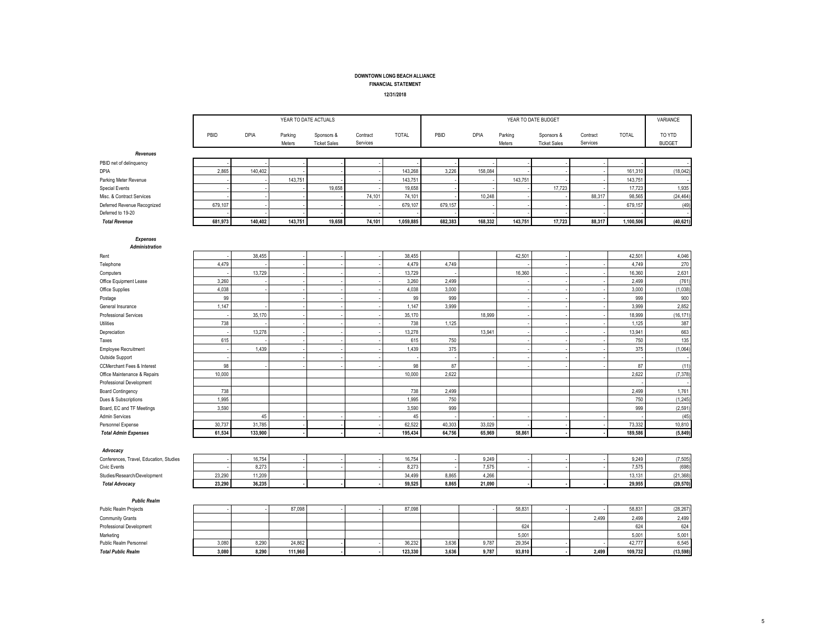FINANCIAL STATEMENT

12/31/2018

|                                         |         |             |                   | YEAR TO DATE ACTUALS              |                      |              |         |         |                   | YEAR TO DATE BUDGET               |                      |              | VARIANCE                |
|-----------------------------------------|---------|-------------|-------------------|-----------------------------------|----------------------|--------------|---------|---------|-------------------|-----------------------------------|----------------------|--------------|-------------------------|
|                                         | PBID    | <b>DPIA</b> | Parking<br>Meters | Sponsors &<br><b>Ticket Sales</b> | Contract<br>Services | <b>TOTAL</b> | PBID    | DPIA    | Parking<br>Meters | Sponsors &<br><b>Ticket Sales</b> | Contract<br>Services | <b>TOTAL</b> | TO YTD<br><b>BUDGET</b> |
| Revenues                                |         |             |                   |                                   |                      |              |         |         |                   |                                   |                      |              |                         |
| PBID net of delinquency                 |         |             |                   |                                   |                      |              |         |         |                   |                                   |                      |              |                         |
| DPIA                                    | 2,865   | 140,402     |                   |                                   |                      | 143,268      | 3,226   | 158,084 |                   |                                   |                      | 161,310      | (18, 042)               |
| Parking Meter Revenue                   |         |             | 143,751           |                                   |                      | 143,751      |         |         | 143,751           |                                   |                      | 143,751      | $\overline{a}$          |
| <b>Special Events</b>                   |         |             |                   | 19,658                            |                      | 19,658       |         |         |                   | 17,723                            |                      | 17,723       | 1,935                   |
| Misc. & Contract Services               |         |             |                   |                                   | 74,101               | 74,101       |         | 10,248  |                   |                                   | 88,317               | 98,565       | (24, 464)               |
| Deferred Revenue Recognized             | 679,107 |             |                   |                                   |                      | 679,107      | 679,157 |         |                   |                                   |                      | 679,157      | (49)                    |
| Deferred to 19-20                       |         |             |                   |                                   |                      |              |         |         |                   |                                   |                      |              |                         |
| <b>Total Revenue</b>                    | 681,973 | 140,402     | 143,751           | 19,658                            | 74,101               | 1,059,885    | 682,383 | 168,332 | 143,751           | 17,723                            | 88,317               | 1,100,506    | (40, 621)               |
| <b>Expenses</b><br>Administration       |         |             |                   |                                   |                      |              |         |         |                   |                                   |                      |              |                         |
| Rent                                    |         | 38,455      |                   |                                   |                      | 38,455       |         |         | 42,501            |                                   |                      | 42,501       | 4,046                   |
| Telephone                               | 4,479   |             |                   |                                   |                      | 4,479        | 4,749   |         |                   |                                   |                      | 4.749        | 270                     |
| Computers                               |         | 13,729      |                   |                                   |                      | 13,729       |         |         | 16,360            |                                   |                      | 16,360       | 2,631                   |
| Office Equipment Lease                  | 3,260   |             |                   |                                   |                      | 3,260        | 2.499   |         |                   |                                   |                      | 2,499        | (761)                   |
| Office Supplies                         | 4,038   |             |                   |                                   |                      | 4,038        | 3,000   |         |                   |                                   |                      | 3,000        | (1,038)                 |
| Postage                                 | 99      |             |                   |                                   |                      | 99           | 999     |         |                   |                                   |                      | 999          | 900                     |
| General Insurance                       | 1,147   |             |                   |                                   |                      | 1,147        | 3,999   |         |                   |                                   |                      | 3,999        | 2,852                   |
| Professional Services                   |         | 35,170      |                   |                                   |                      | 35,170       |         | 18,999  |                   |                                   |                      | 18,999       | (16, 171)               |
| Utilities                               | 738     |             |                   |                                   |                      | 738          | 1,125   |         |                   |                                   |                      | 1,125        | 387                     |
| Depreciation                            |         | 13,278      |                   |                                   |                      | 13,278       |         | 13,941  |                   |                                   |                      | 13,941       | 663                     |
| Taxes                                   | 615     |             |                   |                                   |                      | 615          | 750     |         |                   |                                   |                      | 750          | 135                     |
| <b>Employee Recruitment</b>             |         | 1,439       |                   |                                   |                      | 1,439        | 375     |         |                   |                                   |                      | 375          | (1,064)                 |
| Outside Support                         |         |             |                   |                                   |                      |              |         |         |                   |                                   |                      |              | $\sim$                  |
| <b>CCMerchant Fees &amp; Interest</b>   | 98      |             |                   |                                   |                      | 98           | 87      |         |                   |                                   |                      | 87           | (11)                    |
| Office Maintenance & Repairs            | 10,000  |             |                   |                                   |                      | 10,000       | 2,622   |         |                   |                                   |                      | 2,622        | (7, 378)                |
| Professional Development                |         |             |                   |                                   |                      |              |         |         |                   |                                   |                      |              | $\overline{a}$          |
| <b>Board Contingency</b>                | 738     |             |                   |                                   |                      | 738          | 2,499   |         |                   |                                   |                      | 2,499        | 1,761                   |
| Dues & Subscriptions                    | 1.995   |             |                   |                                   |                      | 1.995        | 750     |         |                   |                                   |                      | 750          | (1, 245)                |
| Board, EC and TF Meetings               | 3,590   |             |                   |                                   |                      | 3,590        | 999     |         |                   |                                   |                      | 999          | (2,591)                 |
| Admin Services                          |         | 45          |                   |                                   |                      | 45           |         |         |                   |                                   |                      |              | (45)                    |
| Personnel Expense                       | 30,737  | 31,785      |                   |                                   |                      | 62,522       | 40,303  | 33,029  |                   |                                   |                      | 73,332       | 10,810                  |
| <b>Total Admin Expenses</b>             | 61,534  | 133,900     |                   |                                   |                      | 195,434      | 64,756  | 65,969  | 58,861            |                                   |                      | 189,586      | (5, 849)                |
| Advocacy                                |         |             |                   |                                   |                      |              |         |         |                   |                                   |                      |              |                         |
| Conferences, Travel, Education, Studies |         | 16,754      |                   |                                   |                      | 16,754       |         | 9,249   |                   |                                   |                      | 9,249        | (7, 505)                |
| <b>Civic Events</b>                     |         | 8,273       |                   |                                   |                      | 8,273        |         | 7,575   |                   |                                   |                      | 7,575        | (698)                   |
| Studies/Research/Development            | 23,290  | 11,209      |                   |                                   |                      | 34,499       | 8,865   | 4,266   |                   |                                   |                      | 13,131       | (21, 368)               |
| <b>Total Advocacy</b>                   | 23,290  | 36,235      |                   |                                   |                      | 59.525       | 8,865   | 21,090  |                   |                                   |                      | 29,955       | (29, 570)               |
| <b>Public Realm</b>                     |         |             |                   |                                   |                      |              |         |         |                   |                                   |                      |              |                         |
| Public Realm Projects                   |         |             | 87,098            |                                   |                      | 87,098       |         |         | 58,831            |                                   |                      | 58,831       | (28, 267)               |
| Community Grants                        |         |             |                   |                                   |                      |              |         |         |                   |                                   | 2,499                | 2,499        | 2,499                   |
| Professional Development                |         |             |                   |                                   |                      |              |         |         | 624               |                                   |                      | 624          | 624                     |
| Marketing                               |         |             |                   |                                   |                      |              |         |         | 5,001             |                                   |                      | 5,001        | 5,001                   |
| Public Realm Personnel                  | 3.080   | 8.290       | 24.862            |                                   |                      | 36.232       | 3,636   | 9,787   | 29.354            |                                   |                      | 42.777       | 6,545                   |
| <b>Total Public Realm</b>               | 3,080   | 8,290       | 111,960           |                                   |                      | 123,330      | 3,636   | 9,787   | 93,810            |                                   | 2,499                | 109,732      | (13, 598)               |
|                                         |         |             |                   |                                   |                      |              |         |         |                   |                                   |                      |              |                         |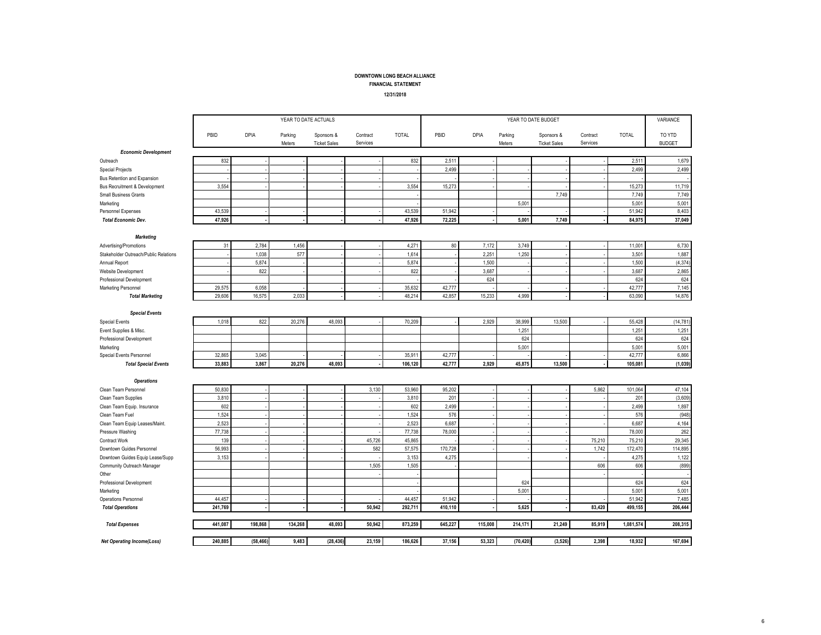#### FINANCIAL STATEMENT

#### 12/31/2018

|                                       |         |           | YEAR TO DATE ACTUALS |                                   |                      |              |         |             | YEAR TO DATE BUDGET |                                   |                      |              | VARIANCE                |
|---------------------------------------|---------|-----------|----------------------|-----------------------------------|----------------------|--------------|---------|-------------|---------------------|-----------------------------------|----------------------|--------------|-------------------------|
|                                       | PBID    | DPIA      | Parking<br>Meters    | Sponsors &<br><b>Ticket Sales</b> | Contract<br>Services | <b>TOTAL</b> | PBID    | <b>DPIA</b> | Parking<br>Meters   | Sponsors &<br><b>Ticket Sales</b> | Contract<br>Services | <b>TOTAL</b> | TO YTD<br><b>BUDGET</b> |
| <b>Economic Development</b>           |         |           |                      |                                   |                      |              |         |             |                     |                                   |                      |              |                         |
| Outreach                              | 832     |           |                      |                                   |                      | 832          | 2,511   |             |                     |                                   |                      | 2,511        | 1,679                   |
| <b>Special Projects</b>               |         |           |                      |                                   |                      |              | 2,499   |             |                     |                                   |                      | 2,499        | 2,499                   |
| Bus Retention and Expansion           |         |           |                      |                                   |                      |              |         |             |                     |                                   |                      |              |                         |
| Bus Recruitment & Development         | 3.554   |           |                      |                                   |                      | 3,554        | 15,273  |             |                     |                                   |                      | 15,273       | 11,719                  |
| <b>Small Business Grants</b>          |         |           |                      |                                   |                      |              |         |             |                     | 7,749                             |                      | 7,749        | 7,749                   |
| Marketing                             |         |           |                      |                                   |                      |              |         |             | 5.001               |                                   |                      | 5,001        | 5,001                   |
| Personnel Expenses                    | 43,539  |           |                      |                                   |                      | 43,539       | 51,942  |             |                     |                                   |                      | 51,942       | 8,403                   |
| <b>Total Economic Dev.</b>            | 47,926  |           |                      |                                   |                      | 47,926       | 72.225  |             | 5.001               | 7,749                             |                      | 84,975       | 37,049                  |
| <b>Marketing</b>                      |         |           |                      |                                   |                      |              |         |             |                     |                                   |                      |              |                         |
| Advertising/Promotions                | 31      | 2,784     | 1,456                |                                   |                      | 4,271        | 80      | 7,172       | 3,749               |                                   |                      | 11,001       | 6,730                   |
| Stakeholder Outreach/Public Relations |         | 1,038     | 577                  |                                   |                      | 1,614        |         | 2.25        | 1,250               |                                   |                      | 3,501        | 1,887                   |
| Annual Report                         |         | 5,874     |                      |                                   |                      | 5,874        |         | 1,500       |                     |                                   |                      | 1,500        | (4, 374)                |
| <b>Website Development</b>            |         | 822       |                      |                                   |                      | 822          |         | 3,687       |                     |                                   |                      | 3,687        | 2,865                   |
| Professional Development              |         |           |                      |                                   |                      |              |         | 624         |                     |                                   |                      | 624          | 624                     |
| Marketing Personnel                   | 29.575  | 6,058     |                      |                                   |                      | 35,632       | 42,777  |             |                     |                                   |                      | 42,777       | 7,145                   |
| <b>Total Marketing</b>                | 29,606  | 16,575    | 2,033                |                                   |                      | 48,214       | 42,857  | 15,233      | 4,999               |                                   |                      | 63,090       | 14,876                  |
| <b>Special Events</b>                 |         |           |                      |                                   |                      |              |         |             |                     |                                   |                      |              |                         |
| <b>Special Events</b>                 | 1,018   | 822       | 20,276               | 48,093                            |                      | 70,209       |         | 2,929       | 38,999              | 13,500                            |                      | 55,428       | (14, 781)               |
| Event Supplies & Misc.                |         |           |                      |                                   |                      |              |         |             | 1,251               |                                   |                      | 1,251        | 1,251                   |
| Professional Development              |         |           |                      |                                   |                      |              |         |             | 624                 |                                   |                      | 624          | 624                     |
| Marketing                             |         |           |                      |                                   |                      |              |         |             | 5,001               |                                   |                      | 5,001        | 5,001                   |
| Special Events Personnel              | 32,865  | 3,045     |                      |                                   |                      | 35,911       | 42,777  |             |                     |                                   |                      | 42,777       | 6,866                   |
| <b>Total Special Events</b>           | 33,883  | 3,867     | 20,276               | 48,093                            |                      | 106,120      | 42,777  | 2,929       | 45,875              | 13,500                            |                      | 105,081      | (1,039)                 |
| <b>Operations</b>                     |         |           |                      |                                   |                      |              |         |             |                     |                                   |                      |              |                         |
| Clean Team Personnel                  | 50,830  |           |                      |                                   | 3,130                | 53,960       | 95,202  |             |                     |                                   | 5,862                | 101,064      | 47,104                  |
| Clean Team Supplies                   | 3,810   |           |                      |                                   |                      | 3,810        | 201     |             |                     |                                   |                      | 201          | (3,609)                 |
| Clean Team Equip. Insurance           | 602     |           |                      |                                   |                      | 602          | 2.499   |             |                     |                                   |                      | 2,499        | 1,897                   |
| Clean Team Fuel                       | 1,524   |           |                      |                                   |                      | 1,524        | 576     |             |                     |                                   |                      | 576          | (948)                   |
| Clean Team Equip Leases/Maint         | 2,523   |           |                      |                                   |                      | 2,523        | 6,687   |             |                     |                                   |                      | 6,687        | 4,164                   |
| Pressure Washing                      | 77,738  |           |                      |                                   |                      | 77,738       | 78,000  |             |                     |                                   |                      | 78,000       | 262                     |
| Contract Work                         | 139     |           |                      |                                   | 45,726               | 45,865       |         |             |                     |                                   | 75,210               | 75,210       | 29,345                  |
| Downtown Guides Personnel             | 56,993  |           |                      |                                   | 582                  | 57,575       | 170,728 |             |                     |                                   | 1,742                | 172,470      | 114,895                 |
| Downtown Guides Equip Lease/Supp      | 3,153   |           |                      |                                   |                      | 3,153        | 4,275   |             |                     |                                   |                      | 4,275        | 1,122                   |
| Community Outreach Manager            |         |           |                      |                                   | 1,505                | 1,505        |         |             |                     |                                   | 606                  | 606          | (899)                   |
| Other                                 |         |           |                      |                                   |                      |              |         |             |                     |                                   |                      |              |                         |
| Professional Development              |         |           |                      |                                   |                      |              |         |             | 624                 |                                   |                      | 624          | 624                     |
| Marketing                             |         |           |                      |                                   |                      |              |         |             | 5,001               |                                   |                      | 5,001        | 5,001                   |
| Operations Personnel                  | 44.457  |           |                      |                                   |                      | 44.457       | 51,942  |             |                     |                                   |                      | 51,942       | 7,485                   |
| <b>Total Operations</b>               | 241,769 |           |                      |                                   | 50,942               | 292,711      | 410,110 |             | 5,625               |                                   | 83,420               | 499,155      | 206,444                 |
| <b>Total Expenses</b>                 | 441,087 | 198,868   | 134,268              | 48,093                            | 50,942               | 873,259      | 645,227 | 115,008     | 214,171             | 21,249                            | 85,919               | 1,081,574    | 208,315                 |
| <b>Net Operating Income(Loss)</b>     | 240,885 | (58, 466) | 9,483                | (28, 436)                         | 23,159               | 186,626      | 37,156  | 53,323      | (70, 420)           | (3, 526)                          | 2,398                | 18,932       | 167,694                 |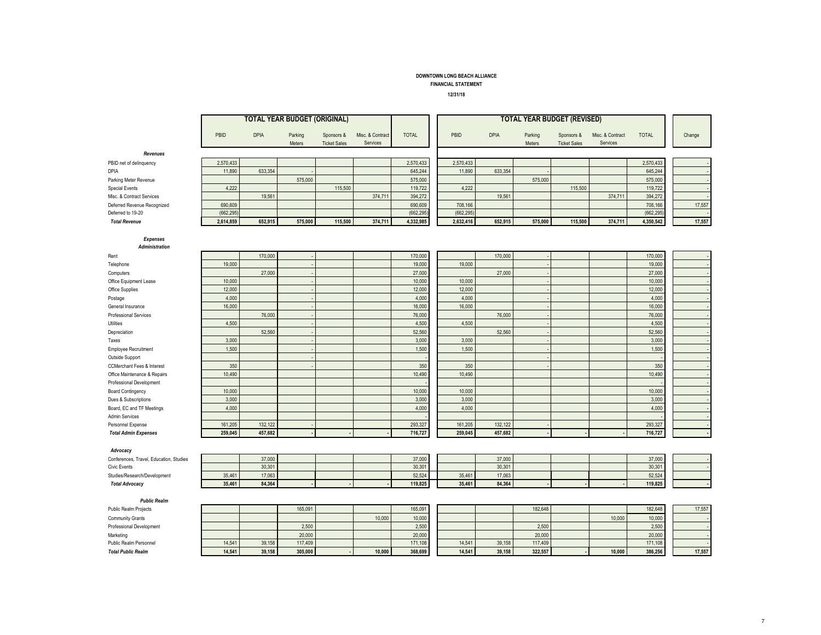FINANCIAL STATEMENT

12/31/18

|                                            |                 |             | <b>TOTAL YEAR BUDGET (ORIGINAL)</b> |                                   |                              |                 | <b>TOTAL YEAR BUDGET (REVISED)</b> |                 |             |                   |                                   |                              |                 |        |
|--------------------------------------------|-----------------|-------------|-------------------------------------|-----------------------------------|------------------------------|-----------------|------------------------------------|-----------------|-------------|-------------------|-----------------------------------|------------------------------|-----------------|--------|
|                                            | PBID            | <b>DPIA</b> | Parking<br>Meters                   | Sponsors &<br><b>Ticket Sales</b> | Misc. & Contract<br>Services | <b>TOTAL</b>    | PBID                               |                 | <b>DPIA</b> | Parking<br>Meters | Sponsors &<br><b>Ticket Sales</b> | Misc. & Contract<br>Services | <b>TOTAL</b>    | Change |
| Revenues                                   |                 |             |                                     |                                   |                              |                 |                                    |                 |             |                   |                                   |                              |                 |        |
| PBID net of delinquency                    | 2,570,433       |             |                                     |                                   |                              | 2,570,433       | 2,570,433                          |                 |             |                   |                                   |                              | 2,570,433       |        |
| DPIA                                       | 11,890          | 633,354     |                                     |                                   |                              | 645,244         |                                    | 11,890          | 633,354     |                   |                                   |                              | 645,244         |        |
| Parking Meter Revenue                      |                 |             | 575,000                             |                                   |                              | 575,000         |                                    |                 |             | 575,000           |                                   |                              | 575,000         |        |
| <b>Special Events</b>                      | 4,222           |             |                                     | 115,500                           |                              | 119,722         |                                    | 4,222           |             |                   | 115,500                           |                              | 119,722         |        |
| Misc. & Contract Services                  |                 | 19,561      |                                     |                                   | 374,711                      | 394,272         |                                    |                 | 19,561      |                   |                                   | 374,711                      | 394,272         |        |
| Deferred Revenue Recognized                | 690,609         |             |                                     |                                   |                              | 690,609         | 708,166                            |                 |             |                   |                                   |                              | 708,166         | 17,557 |
| Deferred to 19-20                          | (662, 295)      |             |                                     |                                   |                              | (662, 295)      | (662, 295)                         |                 |             |                   |                                   |                              | (662, 295)      |        |
| <b>Total Revenue</b>                       | 2,614,859       | 652,915     | 575,000                             | 115,500                           | 374,711                      | 4,332,985       | 2,632,416                          |                 | 652,915     | 575,000           | 115,500                           | 374,711                      | 4,350,542       | 17,557 |
| <b>Expenses</b>                            |                 |             |                                     |                                   |                              |                 |                                    |                 |             |                   |                                   |                              |                 |        |
| Administration                             |                 |             |                                     |                                   |                              |                 |                                    |                 |             |                   |                                   |                              |                 |        |
| Rent                                       |                 | 170,000     |                                     |                                   |                              | 170,000         |                                    |                 | 170,000     |                   |                                   |                              | 170,000         |        |
| Telephone                                  | 19,000          |             |                                     |                                   |                              | 19,000          |                                    | 19,000          |             |                   |                                   |                              | 19,000          |        |
| Computers                                  |                 | 27,000      |                                     |                                   |                              | 27,000          |                                    |                 | 27,000      |                   |                                   |                              | 27,000          |        |
| Office Equipment Lease                     | 10,000          |             |                                     |                                   |                              | 10,000          |                                    | 10,000          |             |                   |                                   |                              | 10,000          |        |
| Office Supplies                            | 12,000          |             |                                     |                                   |                              | 12,000          |                                    | 12,000          |             |                   |                                   |                              | 12,000          |        |
| Postage                                    | 4,000           |             |                                     |                                   |                              | 4,000           |                                    | 4,000           |             |                   |                                   |                              | 4,000           |        |
| General Insurance                          | 16,000          |             |                                     |                                   |                              | 16,000          |                                    | 16,000          |             |                   |                                   |                              | 16,000          |        |
| Professional Services                      |                 | 76,000      |                                     |                                   |                              | 76,000          |                                    |                 | 76,000      |                   |                                   |                              | 76,000          |        |
| Utilities                                  | 4,500           |             |                                     |                                   |                              | 4,500           |                                    | 4,500           |             |                   |                                   |                              | 4,500           |        |
| Depreciation                               |                 | 52,560      |                                     |                                   |                              | 52,560          |                                    |                 | 52,560      |                   |                                   |                              | 52,560          |        |
| Taxes                                      | 3,000           |             |                                     |                                   |                              | 3,000           |                                    | 3,000           |             |                   |                                   |                              | 3,000           |        |
| Employee Recruitment                       | 1.500           |             |                                     |                                   |                              | 1,500           |                                    | 1.500           |             |                   |                                   |                              | 1,500           |        |
| Outside Support                            |                 |             |                                     |                                   |                              |                 |                                    |                 |             |                   |                                   |                              |                 |        |
| <b>CCMerchant Fees &amp; Interest</b>      | 350             |             |                                     |                                   |                              | 350             |                                    | 350<br>10.490   |             |                   |                                   |                              | 350             |        |
| Office Maintenance & Repairs               | 10,490          |             |                                     |                                   |                              | 10.490          |                                    |                 |             |                   |                                   |                              | 10,490          |        |
| Professional Development                   |                 |             |                                     |                                   |                              |                 |                                    |                 |             |                   |                                   |                              |                 |        |
| <b>Board Contingency</b>                   | 10,000<br>3.000 |             |                                     |                                   |                              | 10,000<br>3.000 |                                    | 10,000<br>3.000 |             |                   |                                   |                              | 10,000<br>3,000 |        |
| Dues & Subscriptions                       | 4.000           |             |                                     |                                   |                              | 4,000           |                                    | 4,000           |             |                   |                                   |                              | 4,000           |        |
| Board, EC and TF Meetings                  |                 |             |                                     |                                   |                              |                 |                                    |                 |             |                   |                                   |                              |                 |        |
| <b>Admin Services</b><br>Personnel Expense | 161,205         | 132,122     |                                     |                                   |                              | 293,327         | 161,205                            |                 | 132,122     |                   |                                   |                              | 293,327         |        |
| <b>Total Admin Expenses</b>                | 259,045         | 457,682     |                                     |                                   |                              | 716,727         | 259,045                            |                 | 457,682     |                   |                                   |                              | 716,727         |        |
|                                            |                 |             |                                     |                                   |                              |                 |                                    |                 |             |                   |                                   |                              |                 |        |
| Advocacy                                   |                 |             |                                     |                                   |                              |                 |                                    |                 |             |                   |                                   |                              |                 |        |
| Conferences, Travel, Education, Studies    |                 | 37,000      |                                     |                                   |                              | 37,000          |                                    |                 | 37,000      |                   |                                   |                              | 37,000          |        |
| Civic Events                               |                 | 30.301      |                                     |                                   |                              | 30.301          |                                    |                 | 30,301      |                   |                                   |                              | 30,301          |        |
| Studies/Research/Development               | 35,461          | 17,063      |                                     |                                   |                              | 52.524          | 35,461                             |                 | 17.063      |                   |                                   |                              | 52,524          |        |
| <b>Total Advocacy</b>                      | 35,461          | 84,364      |                                     |                                   |                              | 119,825         | 35,461                             |                 | 84,364      |                   |                                   |                              | 119,825         |        |
| <b>Public Realm</b>                        |                 |             |                                     |                                   |                              |                 |                                    |                 |             |                   |                                   |                              |                 |        |
| Public Realm Projects                      |                 |             | 165,091                             |                                   |                              | 165,091         |                                    |                 |             | 182,648           |                                   |                              | 182,648         | 17,557 |
| Community Grants                           |                 |             |                                     |                                   | 10,000                       | 10,000          |                                    |                 |             |                   |                                   | 10,000                       | 10,000          |        |
| Professional Development                   |                 |             | 2,500                               |                                   |                              | 2,500           |                                    |                 |             | 2,500             |                                   |                              | 2,500           |        |
| Marketing                                  |                 |             | 20,000                              |                                   |                              | 20,000          |                                    |                 |             | 20,000            |                                   |                              | 20,000          |        |
| Public Realm Personnel                     | 14,541          | 39,158      | 117,409                             |                                   |                              | 171,108         | 14,541                             |                 | 39,158      | 117,409           |                                   |                              | 171,108         |        |
| <b>Total Public Realm</b>                  | 14.541          | 39,158      | 305,000                             |                                   | 10.000                       | 368,699         | 14.541                             |                 | 39,158      | 322,557           |                                   | 10.000                       | 386,256         | 17,557 |
|                                            |                 |             |                                     |                                   |                              |                 |                                    |                 |             |                   |                                   |                              |                 |        |

- -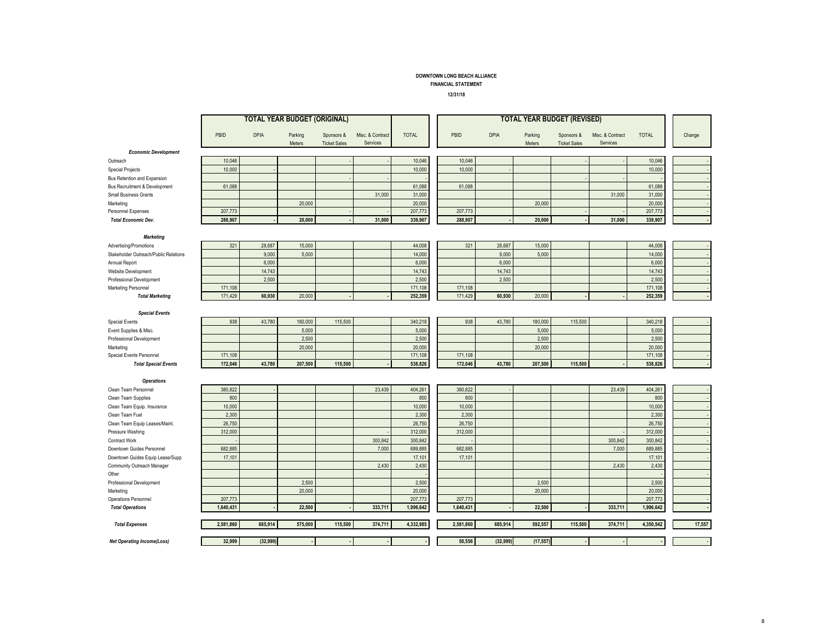#### FINANCIAL STATEMENT

- 6

12/31/18

| PBID<br><b>DPIA</b><br><b>TOTAL</b><br>PBID<br><b>DPIA</b><br><b>TOTAL</b><br>Parking<br>Sponsors &<br>Misc. & Contract<br>Parking<br>Misc. & Contract<br>Change<br>Sponsors &<br>Services<br>Services<br>Meters<br><b>Ticket Sales</b><br>Meters<br><b>Ticket Sales</b><br><b>Economic Development</b><br>10,046<br>10,046<br>10,046<br>10,046<br>Outreach<br>10,000<br>10,000<br>10,000<br>10,000<br><b>Special Projects</b><br>Bus Retention and Expansion<br>61,088<br>61,088<br>61,088<br>61,088<br>Bus Recruitment & Development<br>31,000<br>31,000<br>31,000<br>31,000<br><b>Small Business Grants</b><br>20,000<br>20,000<br>20,000<br>20,000<br>Marketing<br>207,773<br>207,773<br>207,773<br>207,773<br>Personnel Expenses<br>288,907<br>31,000<br>339,907<br>31,000<br>339,907<br>20,000<br>288,907<br>20,000<br><b>Total Economic Dev.</b><br><b>Marketing</b><br>321<br>28,687<br>15,000<br>44,008<br>321<br>28,687<br>15,000<br>44,008<br>Advertising/Promotions<br>9,000<br>5,000<br>14,000<br>9,000<br>5,000<br>14,000<br>Stakeholder Outreach/Public Relations<br>6,000<br>6,000<br>6,000<br>6,000<br>Annual Report<br>14,743<br>14,743<br>14,743<br>14,743<br>Website Development<br>2,500<br>2,500<br>2,500<br>2,500<br>Professional Development<br>171,108<br>171,108<br>171,108<br>171,108<br>Marketing Personnel<br>252,359<br>252,359<br>171,429<br>60,930<br>20,000<br>171,429<br>60,930<br>20,000<br><b>Total Marketing</b><br><b>Special Events</b><br>938<br>43,780<br>180,000<br>115,500<br>340,218<br>938<br>43,780<br>180,000<br>115,500<br>340,218<br><b>Special Events</b><br>5,000<br>5,000<br>Event Supplies & Misc.<br>5,000<br>5,000<br>2,500<br>2,500<br>2.500<br>2,500<br>Professional Development<br>20,000<br>20,000<br>20,000<br>20,000<br>Marketing<br>171,108<br>171,108<br>Special Events Personnel<br>171,108<br>171,108<br>172,046<br>43,780<br>207,500<br>115,500<br>538,826<br>172,046<br>43,780<br>207,500<br>115,500<br>538,826<br><b>Total Special Events</b><br><b>Operations</b><br>23,439<br>404,261<br>23,439<br>380,822<br>380,822<br>404,261<br>Clean Team Personnel<br>800<br>800<br>800<br>800<br>Clean Team Supplies<br>10,000<br>10,000<br>Clean Team Equip. Insurance<br>10.000<br>10,000<br>2,300<br>2,300<br>2,300<br>2,300<br>Clean Team Fuel<br>26,750<br>26,750<br>26,750<br>26,750<br>Clean Team Equip Leases/Maint.<br>312,000<br>312,000<br>312,000<br>312,000<br>Pressure Washing<br>300,842<br>300,842<br>Contract Work<br>300,842<br>300,842<br>682,885<br>689,885<br>682,885<br>7,000<br>689,885<br>Downtown Guides Personnel<br>7,000<br>17,101<br>17,101<br>17,101<br>17,101<br>Downtown Guides Equip Lease/Supp<br>2,430<br>2,430<br>2,430<br>2,430<br>Community Outreach Manager<br>Other<br>2,500<br>Professional Development<br>2,500<br>2,500<br>2,500<br>20,000<br>20,000<br>20,000<br>20,000<br>Marketing<br>207,773<br>207,773<br>Operations Personnel<br>207,773<br>207,773<br>1,640,431<br>22,500<br>333,711<br>1,996,642<br>1,640,431<br>22,500<br>333,711<br>1,996,642<br><b>Total Operations</b><br>17,557<br>2,581,860<br>685,914<br>575,000<br>115,500<br>374,711<br>4,332,985<br>2,581,860<br>685,914<br>592,557<br>115,500<br>374,711<br>4,350,542<br><b>Total Expenses</b><br>32,999<br>(32, 999)<br>50,556<br>(32, 999)<br>(17, 557)<br><b>Net Operating Income(Loss)</b> |  | <b>TOTAL YEAR BUDGET (ORIGINAL)</b> |  |  |  |  | <b>TOTAL YEAR BUDGET (REVISED)</b> |  |  |
|---------------------------------------------------------------------------------------------------------------------------------------------------------------------------------------------------------------------------------------------------------------------------------------------------------------------------------------------------------------------------------------------------------------------------------------------------------------------------------------------------------------------------------------------------------------------------------------------------------------------------------------------------------------------------------------------------------------------------------------------------------------------------------------------------------------------------------------------------------------------------------------------------------------------------------------------------------------------------------------------------------------------------------------------------------------------------------------------------------------------------------------------------------------------------------------------------------------------------------------------------------------------------------------------------------------------------------------------------------------------------------------------------------------------------------------------------------------------------------------------------------------------------------------------------------------------------------------------------------------------------------------------------------------------------------------------------------------------------------------------------------------------------------------------------------------------------------------------------------------------------------------------------------------------------------------------------------------------------------------------------------------------------------------------------------------------------------------------------------------------------------------------------------------------------------------------------------------------------------------------------------------------------------------------------------------------------------------------------------------------------------------------------------------------------------------------------------------------------------------------------------------------------------------------------------------------------------------------------------------------------------------------------------------------------------------------------------------------------------------------------------------------------------------------------------------------------------------------------------------------------------------------------------------------------------------------------------------------------------------------------------------------------------------------------------------------------------------------------------------------------------------------------------------------------------------------------------------------------------------------------------------------------------------------------------------------------------------------------------------------------|--|-------------------------------------|--|--|--|--|------------------------------------|--|--|
|                                                                                                                                                                                                                                                                                                                                                                                                                                                                                                                                                                                                                                                                                                                                                                                                                                                                                                                                                                                                                                                                                                                                                                                                                                                                                                                                                                                                                                                                                                                                                                                                                                                                                                                                                                                                                                                                                                                                                                                                                                                                                                                                                                                                                                                                                                                                                                                                                                                                                                                                                                                                                                                                                                                                                                                                                                                                                                                                                                                                                                                                                                                                                                                                                                                                                                                                                                           |  |                                     |  |  |  |  |                                    |  |  |
|                                                                                                                                                                                                                                                                                                                                                                                                                                                                                                                                                                                                                                                                                                                                                                                                                                                                                                                                                                                                                                                                                                                                                                                                                                                                                                                                                                                                                                                                                                                                                                                                                                                                                                                                                                                                                                                                                                                                                                                                                                                                                                                                                                                                                                                                                                                                                                                                                                                                                                                                                                                                                                                                                                                                                                                                                                                                                                                                                                                                                                                                                                                                                                                                                                                                                                                                                                           |  |                                     |  |  |  |  |                                    |  |  |
|                                                                                                                                                                                                                                                                                                                                                                                                                                                                                                                                                                                                                                                                                                                                                                                                                                                                                                                                                                                                                                                                                                                                                                                                                                                                                                                                                                                                                                                                                                                                                                                                                                                                                                                                                                                                                                                                                                                                                                                                                                                                                                                                                                                                                                                                                                                                                                                                                                                                                                                                                                                                                                                                                                                                                                                                                                                                                                                                                                                                                                                                                                                                                                                                                                                                                                                                                                           |  |                                     |  |  |  |  |                                    |  |  |
|                                                                                                                                                                                                                                                                                                                                                                                                                                                                                                                                                                                                                                                                                                                                                                                                                                                                                                                                                                                                                                                                                                                                                                                                                                                                                                                                                                                                                                                                                                                                                                                                                                                                                                                                                                                                                                                                                                                                                                                                                                                                                                                                                                                                                                                                                                                                                                                                                                                                                                                                                                                                                                                                                                                                                                                                                                                                                                                                                                                                                                                                                                                                                                                                                                                                                                                                                                           |  |                                     |  |  |  |  |                                    |  |  |
|                                                                                                                                                                                                                                                                                                                                                                                                                                                                                                                                                                                                                                                                                                                                                                                                                                                                                                                                                                                                                                                                                                                                                                                                                                                                                                                                                                                                                                                                                                                                                                                                                                                                                                                                                                                                                                                                                                                                                                                                                                                                                                                                                                                                                                                                                                                                                                                                                                                                                                                                                                                                                                                                                                                                                                                                                                                                                                                                                                                                                                                                                                                                                                                                                                                                                                                                                                           |  |                                     |  |  |  |  |                                    |  |  |
|                                                                                                                                                                                                                                                                                                                                                                                                                                                                                                                                                                                                                                                                                                                                                                                                                                                                                                                                                                                                                                                                                                                                                                                                                                                                                                                                                                                                                                                                                                                                                                                                                                                                                                                                                                                                                                                                                                                                                                                                                                                                                                                                                                                                                                                                                                                                                                                                                                                                                                                                                                                                                                                                                                                                                                                                                                                                                                                                                                                                                                                                                                                                                                                                                                                                                                                                                                           |  |                                     |  |  |  |  |                                    |  |  |
|                                                                                                                                                                                                                                                                                                                                                                                                                                                                                                                                                                                                                                                                                                                                                                                                                                                                                                                                                                                                                                                                                                                                                                                                                                                                                                                                                                                                                                                                                                                                                                                                                                                                                                                                                                                                                                                                                                                                                                                                                                                                                                                                                                                                                                                                                                                                                                                                                                                                                                                                                                                                                                                                                                                                                                                                                                                                                                                                                                                                                                                                                                                                                                                                                                                                                                                                                                           |  |                                     |  |  |  |  |                                    |  |  |
|                                                                                                                                                                                                                                                                                                                                                                                                                                                                                                                                                                                                                                                                                                                                                                                                                                                                                                                                                                                                                                                                                                                                                                                                                                                                                                                                                                                                                                                                                                                                                                                                                                                                                                                                                                                                                                                                                                                                                                                                                                                                                                                                                                                                                                                                                                                                                                                                                                                                                                                                                                                                                                                                                                                                                                                                                                                                                                                                                                                                                                                                                                                                                                                                                                                                                                                                                                           |  |                                     |  |  |  |  |                                    |  |  |
|                                                                                                                                                                                                                                                                                                                                                                                                                                                                                                                                                                                                                                                                                                                                                                                                                                                                                                                                                                                                                                                                                                                                                                                                                                                                                                                                                                                                                                                                                                                                                                                                                                                                                                                                                                                                                                                                                                                                                                                                                                                                                                                                                                                                                                                                                                                                                                                                                                                                                                                                                                                                                                                                                                                                                                                                                                                                                                                                                                                                                                                                                                                                                                                                                                                                                                                                                                           |  |                                     |  |  |  |  |                                    |  |  |
|                                                                                                                                                                                                                                                                                                                                                                                                                                                                                                                                                                                                                                                                                                                                                                                                                                                                                                                                                                                                                                                                                                                                                                                                                                                                                                                                                                                                                                                                                                                                                                                                                                                                                                                                                                                                                                                                                                                                                                                                                                                                                                                                                                                                                                                                                                                                                                                                                                                                                                                                                                                                                                                                                                                                                                                                                                                                                                                                                                                                                                                                                                                                                                                                                                                                                                                                                                           |  |                                     |  |  |  |  |                                    |  |  |
|                                                                                                                                                                                                                                                                                                                                                                                                                                                                                                                                                                                                                                                                                                                                                                                                                                                                                                                                                                                                                                                                                                                                                                                                                                                                                                                                                                                                                                                                                                                                                                                                                                                                                                                                                                                                                                                                                                                                                                                                                                                                                                                                                                                                                                                                                                                                                                                                                                                                                                                                                                                                                                                                                                                                                                                                                                                                                                                                                                                                                                                                                                                                                                                                                                                                                                                                                                           |  |                                     |  |  |  |  |                                    |  |  |
|                                                                                                                                                                                                                                                                                                                                                                                                                                                                                                                                                                                                                                                                                                                                                                                                                                                                                                                                                                                                                                                                                                                                                                                                                                                                                                                                                                                                                                                                                                                                                                                                                                                                                                                                                                                                                                                                                                                                                                                                                                                                                                                                                                                                                                                                                                                                                                                                                                                                                                                                                                                                                                                                                                                                                                                                                                                                                                                                                                                                                                                                                                                                                                                                                                                                                                                                                                           |  |                                     |  |  |  |  |                                    |  |  |
|                                                                                                                                                                                                                                                                                                                                                                                                                                                                                                                                                                                                                                                                                                                                                                                                                                                                                                                                                                                                                                                                                                                                                                                                                                                                                                                                                                                                                                                                                                                                                                                                                                                                                                                                                                                                                                                                                                                                                                                                                                                                                                                                                                                                                                                                                                                                                                                                                                                                                                                                                                                                                                                                                                                                                                                                                                                                                                                                                                                                                                                                                                                                                                                                                                                                                                                                                                           |  |                                     |  |  |  |  |                                    |  |  |
|                                                                                                                                                                                                                                                                                                                                                                                                                                                                                                                                                                                                                                                                                                                                                                                                                                                                                                                                                                                                                                                                                                                                                                                                                                                                                                                                                                                                                                                                                                                                                                                                                                                                                                                                                                                                                                                                                                                                                                                                                                                                                                                                                                                                                                                                                                                                                                                                                                                                                                                                                                                                                                                                                                                                                                                                                                                                                                                                                                                                                                                                                                                                                                                                                                                                                                                                                                           |  |                                     |  |  |  |  |                                    |  |  |
|                                                                                                                                                                                                                                                                                                                                                                                                                                                                                                                                                                                                                                                                                                                                                                                                                                                                                                                                                                                                                                                                                                                                                                                                                                                                                                                                                                                                                                                                                                                                                                                                                                                                                                                                                                                                                                                                                                                                                                                                                                                                                                                                                                                                                                                                                                                                                                                                                                                                                                                                                                                                                                                                                                                                                                                                                                                                                                                                                                                                                                                                                                                                                                                                                                                                                                                                                                           |  |                                     |  |  |  |  |                                    |  |  |
|                                                                                                                                                                                                                                                                                                                                                                                                                                                                                                                                                                                                                                                                                                                                                                                                                                                                                                                                                                                                                                                                                                                                                                                                                                                                                                                                                                                                                                                                                                                                                                                                                                                                                                                                                                                                                                                                                                                                                                                                                                                                                                                                                                                                                                                                                                                                                                                                                                                                                                                                                                                                                                                                                                                                                                                                                                                                                                                                                                                                                                                                                                                                                                                                                                                                                                                                                                           |  |                                     |  |  |  |  |                                    |  |  |
|                                                                                                                                                                                                                                                                                                                                                                                                                                                                                                                                                                                                                                                                                                                                                                                                                                                                                                                                                                                                                                                                                                                                                                                                                                                                                                                                                                                                                                                                                                                                                                                                                                                                                                                                                                                                                                                                                                                                                                                                                                                                                                                                                                                                                                                                                                                                                                                                                                                                                                                                                                                                                                                                                                                                                                                                                                                                                                                                                                                                                                                                                                                                                                                                                                                                                                                                                                           |  |                                     |  |  |  |  |                                    |  |  |
|                                                                                                                                                                                                                                                                                                                                                                                                                                                                                                                                                                                                                                                                                                                                                                                                                                                                                                                                                                                                                                                                                                                                                                                                                                                                                                                                                                                                                                                                                                                                                                                                                                                                                                                                                                                                                                                                                                                                                                                                                                                                                                                                                                                                                                                                                                                                                                                                                                                                                                                                                                                                                                                                                                                                                                                                                                                                                                                                                                                                                                                                                                                                                                                                                                                                                                                                                                           |  |                                     |  |  |  |  |                                    |  |  |
|                                                                                                                                                                                                                                                                                                                                                                                                                                                                                                                                                                                                                                                                                                                                                                                                                                                                                                                                                                                                                                                                                                                                                                                                                                                                                                                                                                                                                                                                                                                                                                                                                                                                                                                                                                                                                                                                                                                                                                                                                                                                                                                                                                                                                                                                                                                                                                                                                                                                                                                                                                                                                                                                                                                                                                                                                                                                                                                                                                                                                                                                                                                                                                                                                                                                                                                                                                           |  |                                     |  |  |  |  |                                    |  |  |
|                                                                                                                                                                                                                                                                                                                                                                                                                                                                                                                                                                                                                                                                                                                                                                                                                                                                                                                                                                                                                                                                                                                                                                                                                                                                                                                                                                                                                                                                                                                                                                                                                                                                                                                                                                                                                                                                                                                                                                                                                                                                                                                                                                                                                                                                                                                                                                                                                                                                                                                                                                                                                                                                                                                                                                                                                                                                                                                                                                                                                                                                                                                                                                                                                                                                                                                                                                           |  |                                     |  |  |  |  |                                    |  |  |
|                                                                                                                                                                                                                                                                                                                                                                                                                                                                                                                                                                                                                                                                                                                                                                                                                                                                                                                                                                                                                                                                                                                                                                                                                                                                                                                                                                                                                                                                                                                                                                                                                                                                                                                                                                                                                                                                                                                                                                                                                                                                                                                                                                                                                                                                                                                                                                                                                                                                                                                                                                                                                                                                                                                                                                                                                                                                                                                                                                                                                                                                                                                                                                                                                                                                                                                                                                           |  |                                     |  |  |  |  |                                    |  |  |
|                                                                                                                                                                                                                                                                                                                                                                                                                                                                                                                                                                                                                                                                                                                                                                                                                                                                                                                                                                                                                                                                                                                                                                                                                                                                                                                                                                                                                                                                                                                                                                                                                                                                                                                                                                                                                                                                                                                                                                                                                                                                                                                                                                                                                                                                                                                                                                                                                                                                                                                                                                                                                                                                                                                                                                                                                                                                                                                                                                                                                                                                                                                                                                                                                                                                                                                                                                           |  |                                     |  |  |  |  |                                    |  |  |
|                                                                                                                                                                                                                                                                                                                                                                                                                                                                                                                                                                                                                                                                                                                                                                                                                                                                                                                                                                                                                                                                                                                                                                                                                                                                                                                                                                                                                                                                                                                                                                                                                                                                                                                                                                                                                                                                                                                                                                                                                                                                                                                                                                                                                                                                                                                                                                                                                                                                                                                                                                                                                                                                                                                                                                                                                                                                                                                                                                                                                                                                                                                                                                                                                                                                                                                                                                           |  |                                     |  |  |  |  |                                    |  |  |
|                                                                                                                                                                                                                                                                                                                                                                                                                                                                                                                                                                                                                                                                                                                                                                                                                                                                                                                                                                                                                                                                                                                                                                                                                                                                                                                                                                                                                                                                                                                                                                                                                                                                                                                                                                                                                                                                                                                                                                                                                                                                                                                                                                                                                                                                                                                                                                                                                                                                                                                                                                                                                                                                                                                                                                                                                                                                                                                                                                                                                                                                                                                                                                                                                                                                                                                                                                           |  |                                     |  |  |  |  |                                    |  |  |
|                                                                                                                                                                                                                                                                                                                                                                                                                                                                                                                                                                                                                                                                                                                                                                                                                                                                                                                                                                                                                                                                                                                                                                                                                                                                                                                                                                                                                                                                                                                                                                                                                                                                                                                                                                                                                                                                                                                                                                                                                                                                                                                                                                                                                                                                                                                                                                                                                                                                                                                                                                                                                                                                                                                                                                                                                                                                                                                                                                                                                                                                                                                                                                                                                                                                                                                                                                           |  |                                     |  |  |  |  |                                    |  |  |
|                                                                                                                                                                                                                                                                                                                                                                                                                                                                                                                                                                                                                                                                                                                                                                                                                                                                                                                                                                                                                                                                                                                                                                                                                                                                                                                                                                                                                                                                                                                                                                                                                                                                                                                                                                                                                                                                                                                                                                                                                                                                                                                                                                                                                                                                                                                                                                                                                                                                                                                                                                                                                                                                                                                                                                                                                                                                                                                                                                                                                                                                                                                                                                                                                                                                                                                                                                           |  |                                     |  |  |  |  |                                    |  |  |
|                                                                                                                                                                                                                                                                                                                                                                                                                                                                                                                                                                                                                                                                                                                                                                                                                                                                                                                                                                                                                                                                                                                                                                                                                                                                                                                                                                                                                                                                                                                                                                                                                                                                                                                                                                                                                                                                                                                                                                                                                                                                                                                                                                                                                                                                                                                                                                                                                                                                                                                                                                                                                                                                                                                                                                                                                                                                                                                                                                                                                                                                                                                                                                                                                                                                                                                                                                           |  |                                     |  |  |  |  |                                    |  |  |
|                                                                                                                                                                                                                                                                                                                                                                                                                                                                                                                                                                                                                                                                                                                                                                                                                                                                                                                                                                                                                                                                                                                                                                                                                                                                                                                                                                                                                                                                                                                                                                                                                                                                                                                                                                                                                                                                                                                                                                                                                                                                                                                                                                                                                                                                                                                                                                                                                                                                                                                                                                                                                                                                                                                                                                                                                                                                                                                                                                                                                                                                                                                                                                                                                                                                                                                                                                           |  |                                     |  |  |  |  |                                    |  |  |
|                                                                                                                                                                                                                                                                                                                                                                                                                                                                                                                                                                                                                                                                                                                                                                                                                                                                                                                                                                                                                                                                                                                                                                                                                                                                                                                                                                                                                                                                                                                                                                                                                                                                                                                                                                                                                                                                                                                                                                                                                                                                                                                                                                                                                                                                                                                                                                                                                                                                                                                                                                                                                                                                                                                                                                                                                                                                                                                                                                                                                                                                                                                                                                                                                                                                                                                                                                           |  |                                     |  |  |  |  |                                    |  |  |
|                                                                                                                                                                                                                                                                                                                                                                                                                                                                                                                                                                                                                                                                                                                                                                                                                                                                                                                                                                                                                                                                                                                                                                                                                                                                                                                                                                                                                                                                                                                                                                                                                                                                                                                                                                                                                                                                                                                                                                                                                                                                                                                                                                                                                                                                                                                                                                                                                                                                                                                                                                                                                                                                                                                                                                                                                                                                                                                                                                                                                                                                                                                                                                                                                                                                                                                                                                           |  |                                     |  |  |  |  |                                    |  |  |
|                                                                                                                                                                                                                                                                                                                                                                                                                                                                                                                                                                                                                                                                                                                                                                                                                                                                                                                                                                                                                                                                                                                                                                                                                                                                                                                                                                                                                                                                                                                                                                                                                                                                                                                                                                                                                                                                                                                                                                                                                                                                                                                                                                                                                                                                                                                                                                                                                                                                                                                                                                                                                                                                                                                                                                                                                                                                                                                                                                                                                                                                                                                                                                                                                                                                                                                                                                           |  |                                     |  |  |  |  |                                    |  |  |
|                                                                                                                                                                                                                                                                                                                                                                                                                                                                                                                                                                                                                                                                                                                                                                                                                                                                                                                                                                                                                                                                                                                                                                                                                                                                                                                                                                                                                                                                                                                                                                                                                                                                                                                                                                                                                                                                                                                                                                                                                                                                                                                                                                                                                                                                                                                                                                                                                                                                                                                                                                                                                                                                                                                                                                                                                                                                                                                                                                                                                                                                                                                                                                                                                                                                                                                                                                           |  |                                     |  |  |  |  |                                    |  |  |
|                                                                                                                                                                                                                                                                                                                                                                                                                                                                                                                                                                                                                                                                                                                                                                                                                                                                                                                                                                                                                                                                                                                                                                                                                                                                                                                                                                                                                                                                                                                                                                                                                                                                                                                                                                                                                                                                                                                                                                                                                                                                                                                                                                                                                                                                                                                                                                                                                                                                                                                                                                                                                                                                                                                                                                                                                                                                                                                                                                                                                                                                                                                                                                                                                                                                                                                                                                           |  |                                     |  |  |  |  |                                    |  |  |
|                                                                                                                                                                                                                                                                                                                                                                                                                                                                                                                                                                                                                                                                                                                                                                                                                                                                                                                                                                                                                                                                                                                                                                                                                                                                                                                                                                                                                                                                                                                                                                                                                                                                                                                                                                                                                                                                                                                                                                                                                                                                                                                                                                                                                                                                                                                                                                                                                                                                                                                                                                                                                                                                                                                                                                                                                                                                                                                                                                                                                                                                                                                                                                                                                                                                                                                                                                           |  |                                     |  |  |  |  |                                    |  |  |
|                                                                                                                                                                                                                                                                                                                                                                                                                                                                                                                                                                                                                                                                                                                                                                                                                                                                                                                                                                                                                                                                                                                                                                                                                                                                                                                                                                                                                                                                                                                                                                                                                                                                                                                                                                                                                                                                                                                                                                                                                                                                                                                                                                                                                                                                                                                                                                                                                                                                                                                                                                                                                                                                                                                                                                                                                                                                                                                                                                                                                                                                                                                                                                                                                                                                                                                                                                           |  |                                     |  |  |  |  |                                    |  |  |
|                                                                                                                                                                                                                                                                                                                                                                                                                                                                                                                                                                                                                                                                                                                                                                                                                                                                                                                                                                                                                                                                                                                                                                                                                                                                                                                                                                                                                                                                                                                                                                                                                                                                                                                                                                                                                                                                                                                                                                                                                                                                                                                                                                                                                                                                                                                                                                                                                                                                                                                                                                                                                                                                                                                                                                                                                                                                                                                                                                                                                                                                                                                                                                                                                                                                                                                                                                           |  |                                     |  |  |  |  |                                    |  |  |
|                                                                                                                                                                                                                                                                                                                                                                                                                                                                                                                                                                                                                                                                                                                                                                                                                                                                                                                                                                                                                                                                                                                                                                                                                                                                                                                                                                                                                                                                                                                                                                                                                                                                                                                                                                                                                                                                                                                                                                                                                                                                                                                                                                                                                                                                                                                                                                                                                                                                                                                                                                                                                                                                                                                                                                                                                                                                                                                                                                                                                                                                                                                                                                                                                                                                                                                                                                           |  |                                     |  |  |  |  |                                    |  |  |
|                                                                                                                                                                                                                                                                                                                                                                                                                                                                                                                                                                                                                                                                                                                                                                                                                                                                                                                                                                                                                                                                                                                                                                                                                                                                                                                                                                                                                                                                                                                                                                                                                                                                                                                                                                                                                                                                                                                                                                                                                                                                                                                                                                                                                                                                                                                                                                                                                                                                                                                                                                                                                                                                                                                                                                                                                                                                                                                                                                                                                                                                                                                                                                                                                                                                                                                                                                           |  |                                     |  |  |  |  |                                    |  |  |
|                                                                                                                                                                                                                                                                                                                                                                                                                                                                                                                                                                                                                                                                                                                                                                                                                                                                                                                                                                                                                                                                                                                                                                                                                                                                                                                                                                                                                                                                                                                                                                                                                                                                                                                                                                                                                                                                                                                                                                                                                                                                                                                                                                                                                                                                                                                                                                                                                                                                                                                                                                                                                                                                                                                                                                                                                                                                                                                                                                                                                                                                                                                                                                                                                                                                                                                                                                           |  |                                     |  |  |  |  |                                    |  |  |
|                                                                                                                                                                                                                                                                                                                                                                                                                                                                                                                                                                                                                                                                                                                                                                                                                                                                                                                                                                                                                                                                                                                                                                                                                                                                                                                                                                                                                                                                                                                                                                                                                                                                                                                                                                                                                                                                                                                                                                                                                                                                                                                                                                                                                                                                                                                                                                                                                                                                                                                                                                                                                                                                                                                                                                                                                                                                                                                                                                                                                                                                                                                                                                                                                                                                                                                                                                           |  |                                     |  |  |  |  |                                    |  |  |
|                                                                                                                                                                                                                                                                                                                                                                                                                                                                                                                                                                                                                                                                                                                                                                                                                                                                                                                                                                                                                                                                                                                                                                                                                                                                                                                                                                                                                                                                                                                                                                                                                                                                                                                                                                                                                                                                                                                                                                                                                                                                                                                                                                                                                                                                                                                                                                                                                                                                                                                                                                                                                                                                                                                                                                                                                                                                                                                                                                                                                                                                                                                                                                                                                                                                                                                                                                           |  |                                     |  |  |  |  |                                    |  |  |
|                                                                                                                                                                                                                                                                                                                                                                                                                                                                                                                                                                                                                                                                                                                                                                                                                                                                                                                                                                                                                                                                                                                                                                                                                                                                                                                                                                                                                                                                                                                                                                                                                                                                                                                                                                                                                                                                                                                                                                                                                                                                                                                                                                                                                                                                                                                                                                                                                                                                                                                                                                                                                                                                                                                                                                                                                                                                                                                                                                                                                                                                                                                                                                                                                                                                                                                                                                           |  |                                     |  |  |  |  |                                    |  |  |
|                                                                                                                                                                                                                                                                                                                                                                                                                                                                                                                                                                                                                                                                                                                                                                                                                                                                                                                                                                                                                                                                                                                                                                                                                                                                                                                                                                                                                                                                                                                                                                                                                                                                                                                                                                                                                                                                                                                                                                                                                                                                                                                                                                                                                                                                                                                                                                                                                                                                                                                                                                                                                                                                                                                                                                                                                                                                                                                                                                                                                                                                                                                                                                                                                                                                                                                                                                           |  |                                     |  |  |  |  |                                    |  |  |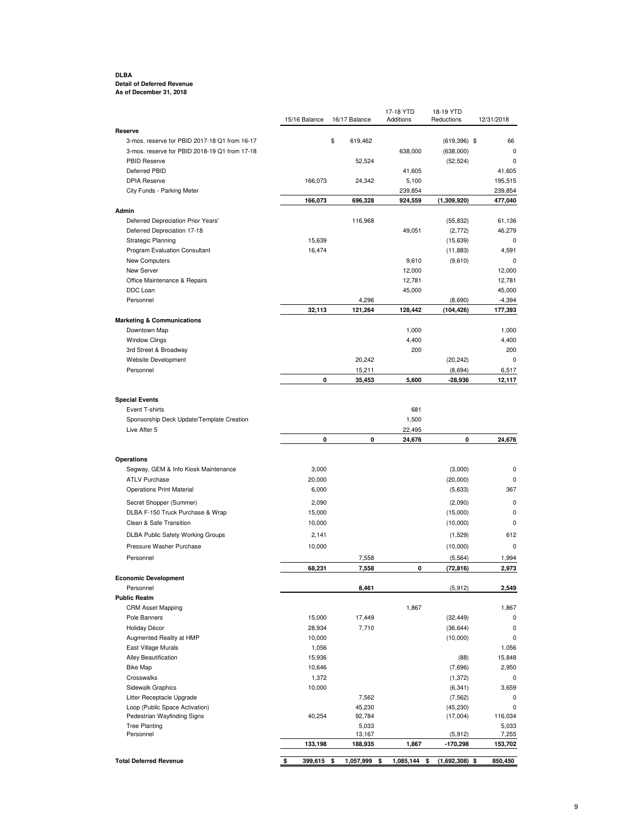#### **DLBA Detail of Deferred Revenue As of December 31, 2018**

|                                                             | 15/16 Balance | 16/17 Balance    | 17-18 YTD<br>Additions | 18-19 YTD<br>Reductions | 12/31/2018        |
|-------------------------------------------------------------|---------------|------------------|------------------------|-------------------------|-------------------|
| Reserve                                                     |               |                  |                        |                         |                   |
| 3-mos. reserve for PBID 2017-18 Q1 from 16-17               |               | \$<br>619,462    |                        | $(619, 396)$ \$         | 66                |
| 3-mos. reserve for PBID 2018-19 Q1 from 17-18               |               |                  | 638,000                | (638,000)               | 0                 |
| PBID Reserve<br>Deferred PBID                               |               | 52,524           |                        | (52, 524)               | $\mathbf 0$       |
| <b>DPIA Reserve</b>                                         | 166,073       | 24,342           | 41,605<br>5,100        |                         | 41,605<br>195,515 |
| City Funds - Parking Meter                                  |               |                  | 239,854                |                         | 239,854           |
|                                                             | 166,073       | 696,328          | 924,559                | (1,309,920)             | 477,040           |
| Admin                                                       |               |                  |                        |                         |                   |
| Deferred Depreciation Prior Years'                          |               | 116,968          |                        | (55, 832)               | 61,136            |
| Deferred Depreciation 17-18                                 |               |                  | 49,051                 | (2,772)                 | 46,279            |
| Strategic Planning                                          | 15,639        |                  |                        | (15, 639)               | 0                 |
| Program Evaluation Consultant                               | 16,474        |                  |                        | (11, 883)               | 4,591             |
| New Computers                                               |               |                  | 9,610                  | (9,610)                 | 0                 |
| New Server                                                  |               |                  | 12,000                 |                         | 12,000            |
| Office Maintenance & Repairs                                |               |                  | 12,781                 |                         | 12,781            |
| DDC Loan                                                    |               |                  | 45,000                 |                         | 45,000            |
| Personnel                                                   |               | 4,296            |                        | (8,690)                 | $-4,394$          |
|                                                             | 32,113        | 121,264          | 128,442                | (104, 426)              | 177,393           |
| <b>Marketing &amp; Communications</b>                       |               |                  |                        |                         |                   |
| Downtown Map                                                |               |                  | 1,000                  |                         | 1,000             |
| <b>Window Clings</b>                                        |               |                  | 4,400                  |                         | 4,400             |
| 3rd Street & Broadway                                       |               |                  | 200                    |                         | 200               |
| Website Development<br>Personnel                            |               | 20,242<br>15,211 |                        | (20, 242)<br>(8,694)    | 0<br>6,517        |
|                                                             | 0             | 35,453           | 5,600                  | -28,936                 | 12,117            |
|                                                             |               |                  |                        |                         |                   |
| <b>Special Events</b>                                       |               |                  |                        |                         |                   |
| Event T-shirts                                              |               |                  | 681                    |                         |                   |
| Sponsorship Deck Update/Template Creation                   |               |                  | 1,500                  |                         |                   |
| Live After 5                                                |               |                  | 22,495                 |                         |                   |
|                                                             | 0             | 0                | 24,676                 | 0                       | 24,676            |
|                                                             |               |                  |                        |                         |                   |
| Operations                                                  |               |                  |                        |                         |                   |
| Segway, GEM & Info Kiosk Maintenance                        | 3,000         |                  |                        | (3,000)                 | 0                 |
| <b>ATLV Purchase</b>                                        | 20,000        |                  |                        | (20,000)                | 0                 |
| <b>Operations Print Material</b>                            | 6,000         |                  |                        | (5,633)                 | 367               |
| Secret Shopper (Summer)                                     | 2,090         |                  |                        | (2,090)                 | 0                 |
| DLBA F-150 Truck Purchase & Wrap                            | 15,000        |                  |                        | (15,000)                | 0                 |
| Clean & Safe Transition                                     | 10,000        |                  |                        | (10,000)                | $\mathbf 0$       |
| <b>DLBA Public Safety Working Groups</b>                    | 2,141         |                  |                        | (1,529)                 | 612               |
| Pressure Washer Purchase                                    | 10,000        |                  |                        | (10,000)                | $\mathbf 0$       |
| Personnel                                                   |               | 7,558            |                        | (5, 564)                | 1,994             |
|                                                             | 68,231        | 7,558            | 0                      | (72, 816)               | 2,973             |
| <b>Economic Development</b>                                 |               |                  |                        |                         |                   |
| Personnel                                                   |               | 8,461            |                        | (5, 912)                | 2,549             |
| <b>Public Realm</b>                                         |               |                  |                        |                         |                   |
| <b>CRM Asset Mapping</b>                                    |               |                  | 1,867                  |                         | 1,867             |
| Pole Banners                                                | 15,000        | 17,449           |                        | (32, 449)               | 0                 |
| Holiday Décor                                               | 28,934        | 7,710            |                        | (36, 644)               | 0                 |
| Augmented Reality at HMP                                    | 10,000        |                  |                        | (10,000)                | 0                 |
| East Village Murals                                         | 1,056         |                  |                        |                         | 1,056             |
| Alley Beautification                                        | 15,936        |                  |                        | (88)                    | 15,848            |
| <b>Bike Map</b>                                             | 10,646        |                  |                        | (7,696)                 | 2,950             |
| Crosswalks                                                  | 1,372         |                  |                        | (1, 372)                | 0                 |
| Sidewalk Graphics                                           | 10,000        |                  |                        | (6, 341)                | 3,659             |
| Litter Receptacle Upgrade<br>Loop (Public Space Activation) |               | 7,562<br>45,230  |                        | (7, 562)<br>(45, 230)   | 0<br>$\mathbf 0$  |
| Pedestrian Wayfinding Signs                                 | 40,254        | 92,784           |                        | (17,004)                | 116,034           |
| <b>Tree Planting</b>                                        |               | 5,033            |                        |                         | 5,033             |
| Personnel                                                   |               | 13,167           |                        | (5, 912)                | 7,255             |
|                                                             | 133,198       | 188,935          | 1,867                  | $-170,298$              | 153,702           |
| <b>Total Deferred Revenue</b>                               |               | 1,057,999        | 1,085,144              |                         | 850,450           |
|                                                             | \$<br>399,615 | \$               | \$                     | $(1,692,308)$ \$<br>\$  |                   |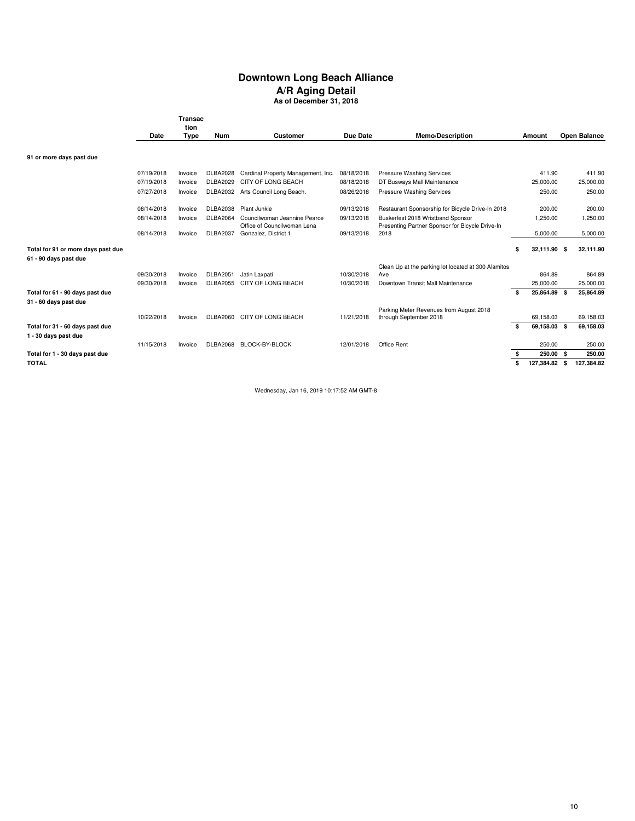# **Downtown Long Beach Alliance A/R Aging Detail**

**As of December 31, 2018**

|                                                         | Transac<br>tion          |                    |                                    |                                                     |                          |                                                         |                                 |                        |
|---------------------------------------------------------|--------------------------|--------------------|------------------------------------|-----------------------------------------------------|--------------------------|---------------------------------------------------------|---------------------------------|------------------------|
|                                                         |                          |                    |                                    |                                                     |                          |                                                         |                                 |                        |
|                                                         | Date                     | Type               | Num                                | Customer                                            | Due Date                 | <b>Memo/Description</b>                                 | Amount                          | Open Balance           |
| 91 or more days past due                                |                          |                    |                                    |                                                     |                          |                                                         |                                 |                        |
|                                                         |                          |                    |                                    |                                                     |                          |                                                         |                                 |                        |
|                                                         | 07/19/2018               | Invoice            | <b>DLBA2028</b>                    | Cardinal Property Management, Inc.                  | 08/18/2018               | <b>Pressure Washing Services</b>                        | 411.90                          | 411.90                 |
|                                                         | 07/19/2018               | Invoice            | DLBA2029                           | CITY OF LONG BEACH                                  | 08/18/2018               | DT Busways Mall Maintenance                             | 25,000.00                       | 25,000.00              |
|                                                         | 07/27/2018               | Invoice            | <b>DLBA2032</b>                    | Arts Council Long Beach.                            | 08/26/2018               | Pressure Washing Services                               | 250.00                          | 250.00                 |
|                                                         | 08/14/2018               | Invoice            | <b>DLBA2038</b>                    | Plant Junkie                                        | 09/13/2018               | Restaurant Sponsorship for Bicycle Drive-In 2018        | 200.00                          | 200.00                 |
|                                                         | 08/14/2018               | Invoice            | <b>DLBA2064</b>                    | Councilwoman Jeannine Pearce                        | 09/13/2018               | Buskerfest 2018 Wristband Sponsor                       | 1,250.00                        | 1,250.00               |
|                                                         | 08/14/2018               | Invoice            | <b>DLBA2037</b>                    | Office of Councilwoman Lena<br>Gonzalez, District 1 | 09/13/2018               | Presenting Partner Sponsor for Bicycle Drive-In<br>2018 | 5,000.00                        | 5,000.00               |
| Total for 91 or more days past due                      |                          |                    |                                    |                                                     |                          |                                                         | \$<br>32,111.90 \$              | 32,111.90              |
| 61 - 90 days past due                                   |                          |                    |                                    |                                                     |                          |                                                         |                                 |                        |
|                                                         |                          |                    |                                    |                                                     |                          | Clean Up at the parking lot located at 300 Alamitos     |                                 |                        |
|                                                         | 09/30/2018<br>09/30/2018 | Invoice<br>Invoice | <b>DLBA2051</b><br><b>DLBA2055</b> | Jatin Laxpati<br>CITY OF LONG BEACH                 | 10/30/2018<br>10/30/2018 | Ave<br>Downtown Transit Mall Maintenance                | 864.89<br>25,000.00             | 864.89<br>25,000.00    |
| Total for 61 - 90 days past due                         |                          |                    |                                    |                                                     |                          |                                                         | \$<br>25,864.89 \$              | 25,864.89              |
| 31 - 60 days past due                                   |                          |                    |                                    |                                                     |                          |                                                         |                                 |                        |
|                                                         |                          |                    |                                    | CITY OF LONG BEACH                                  |                          | Parking Meter Revenues from August 2018                 |                                 |                        |
|                                                         | 10/22/2018               | Invoice            | <b>DLBA2060</b>                    |                                                     | 11/21/2018               | through September 2018                                  | \$<br>69,158.03<br>69,158.03 \$ | 69,158.03<br>69,158.03 |
| Total for 31 - 60 days past due<br>1 - 30 days past due |                          |                    |                                    |                                                     |                          |                                                         |                                 |                        |
|                                                         | 11/15/2018               | Invoice            |                                    | DLBA2068 BLOCK-BY-BLOCK                             | 12/01/2018               | Office Rent                                             | 250.00                          | 250.00                 |
| Total for 1 - 30 days past due                          |                          |                    |                                    |                                                     |                          |                                                         | \$<br>250.00 \$                 | 250.00                 |
| <b>TOTAL</b>                                            |                          |                    |                                    |                                                     |                          |                                                         | \$<br>127,384.82                | \$<br>127,384.82       |

Wednesday, Jan 16, 2019 10:17:52 AM GMT-8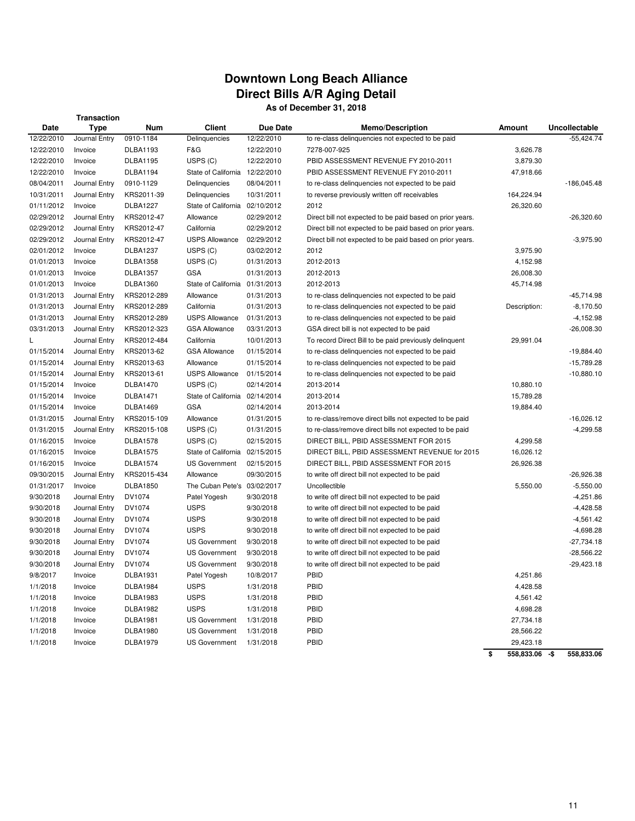## **Downtown Long Beach Alliance Direct Bills A/R Aging Detail As of December 31, 2018**

## **Transaction**

|            | <b>Hallsaction</b> |                 |                                |            |                                                           |                      |               |
|------------|--------------------|-----------------|--------------------------------|------------|-----------------------------------------------------------|----------------------|---------------|
| Date       | <b>Type</b>        | <b>Num</b>      | <b>Client</b>                  | Due Date   | <b>Memo/Description</b>                                   | Amount               | Uncollectable |
| 12/22/2010 | Journal Entry      | 0910-1184       | Delinquencies                  | 12/22/2010 | to re-class delinquencies not expected to be paid         |                      | $-55,424.74$  |
| 12/22/2010 | Invoice            | <b>DLBA1193</b> | F&G                            | 12/22/2010 | 7278-007-925                                              | 3,626.78             |               |
| 12/22/2010 | Invoice            | <b>DLBA1195</b> | USPS (C)                       | 12/22/2010 | PBID ASSESSMENT REVENUE FY 2010-2011                      | 3,879.30             |               |
| 12/22/2010 | Invoice            | <b>DLBA1194</b> | State of California 12/22/2010 |            | PBID ASSESSMENT REVENUE FY 2010-2011                      | 47,918.66            |               |
| 08/04/2011 | Journal Entry      | 0910-1129       | Delinquencies                  | 08/04/2011 | to re-class delinquencies not expected to be paid         |                      | $-186,045.48$ |
| 10/31/2011 | Journal Entry      | KRS2011-39      | Delinquencies                  | 10/31/2011 | to reverse previously written off receivables             | 164,224.94           |               |
| 01/11/2012 | Invoice            | DLBA1227        | State of California 02/10/2012 |            | 2012                                                      | 26,320.60            |               |
| 02/29/2012 | Journal Entry      | KRS2012-47      | Allowance                      | 02/29/2012 | Direct bill not expected to be paid based on prior years. |                      | $-26,320.60$  |
| 02/29/2012 | Journal Entry      | KRS2012-47      | California                     | 02/29/2012 | Direct bill not expected to be paid based on prior years. |                      |               |
| 02/29/2012 | Journal Entry      | KRS2012-47      | <b>USPS Allowance</b>          | 02/29/2012 | Direct bill not expected to be paid based on prior years. |                      | $-3,975.90$   |
| 02/01/2012 | Invoice            | <b>DLBA1237</b> | USPS (C)                       | 03/02/2012 | 2012                                                      | 3,975.90             |               |
| 01/01/2013 | Invoice            | <b>DLBA1358</b> | USPS (C)                       | 01/31/2013 | 2012-2013                                                 | 4,152.98             |               |
| 01/01/2013 | Invoice            | <b>DLBA1357</b> | <b>GSA</b>                     | 01/31/2013 | 2012-2013                                                 | 26,008.30            |               |
| 01/01/2013 | Invoice            | <b>DLBA1360</b> | State of California 01/31/2013 |            | 2012-2013                                                 | 45,714.98            |               |
| 01/31/2013 | Journal Entry      | KRS2012-289     | Allowance                      | 01/31/2013 | to re-class delinquencies not expected to be paid         |                      | $-45,714.98$  |
| 01/31/2013 | Journal Entry      | KRS2012-289     | California                     | 01/31/2013 | to re-class delinquencies not expected to be paid         | Description:         | $-8,170.50$   |
| 01/31/2013 | Journal Entry      | KRS2012-289     | <b>USPS Allowance</b>          | 01/31/2013 | to re-class delinquencies not expected to be paid         |                      | $-4,152.98$   |
| 03/31/2013 | Journal Entry      | KRS2012-323     | <b>GSA Allowance</b>           | 03/31/2013 | GSA direct bill is not expected to be paid                |                      | $-26,008.30$  |
| L          | Journal Entry      | KRS2012-484     | California                     | 10/01/2013 | To record Direct Bill to be paid previously delinguent    | 29,991.04            |               |
| 01/15/2014 | Journal Entry      | KRS2013-62      | <b>GSA Allowance</b>           | 01/15/2014 | to re-class delinquencies not expected to be paid         |                      | $-19,884.40$  |
| 01/15/2014 | Journal Entry      | KRS2013-63      | Allowance                      | 01/15/2014 | to re-class delinquencies not expected to be paid         |                      | $-15,789.28$  |
| 01/15/2014 | Journal Entry      | KRS2013-61      | <b>USPS Allowance</b>          | 01/15/2014 | to re-class delinquencies not expected to be paid         |                      | $-10,880.10$  |
| 01/15/2014 | Invoice            | <b>DLBA1470</b> | USPS (C)                       | 02/14/2014 | 2013-2014                                                 | 10,880.10            |               |
| 01/15/2014 | Invoice            | <b>DLBA1471</b> | State of California 02/14/2014 |            | 2013-2014                                                 | 15,789.28            |               |
| 01/15/2014 | Invoice            | <b>DLBA1469</b> | <b>GSA</b>                     | 02/14/2014 | 2013-2014                                                 | 19,884.40            |               |
| 01/31/2015 |                    | KRS2015-109     |                                |            |                                                           |                      | $-16,026.12$  |
|            | Journal Entry      |                 | Allowance                      | 01/31/2015 | to re-class/remove direct bills not expected to be paid   |                      | $-4,299.58$   |
| 01/31/2015 | Journal Entry      | KRS2015-108     | USPS (C)                       | 01/31/2015 | to re-class/remove direct bills not expected to be paid   |                      |               |
| 01/16/2015 | Invoice            | <b>DLBA1578</b> | USPS (C)                       | 02/15/2015 | DIRECT BILL, PBID ASSESSMENT FOR 2015                     | 4,299.58             |               |
| 01/16/2015 | Invoice            | <b>DLBA1575</b> | State of California 02/15/2015 |            | DIRECT BILL, PBID ASSESSMENT REVENUE for 2015             | 16,026.12            |               |
| 01/16/2015 | Invoice            | <b>DLBA1574</b> | <b>US Government</b>           | 02/15/2015 | DIRECT BILL, PBID ASSESSMENT FOR 2015                     | 26,926.38            |               |
| 09/30/2015 | Journal Entry      | KRS2015-434     | Allowance                      | 09/30/2015 | to write off direct bill not expected to be paid          |                      | $-26,926.38$  |
| 01/31/2017 | Invoice            | <b>DLBA1850</b> | The Cuban Pete's 03/02/2017    |            | Uncollectible                                             | 5,550.00             | $-5,550.00$   |
| 9/30/2018  | Journal Entry      | DV1074          | Patel Yogesh                   | 9/30/2018  | to write off direct bill not expected to be paid          |                      | $-4,251.86$   |
| 9/30/2018  | Journal Entry      | DV1074          | <b>USPS</b>                    | 9/30/2018  | to write off direct bill not expected to be paid          |                      | $-4,428.58$   |
| 9/30/2018  | Journal Entry      | DV1074          | <b>USPS</b>                    | 9/30/2018  | to write off direct bill not expected to be paid          |                      | $-4,561.42$   |
| 9/30/2018  | Journal Entry      | DV1074          | <b>USPS</b>                    | 9/30/2018  | to write off direct bill not expected to be paid          |                      | $-4,698.28$   |
| 9/30/2018  | Journal Entry      | DV1074          | <b>US Government</b>           | 9/30/2018  | to write off direct bill not expected to be paid          |                      | $-27,734.18$  |
| 9/30/2018  | Journal Entry      | DV1074          | <b>US Government</b>           | 9/30/2018  | to write off direct bill not expected to be paid          |                      | $-28,566.22$  |
| 9/30/2018  | Journal Entry      | DV1074          | <b>US Government</b>           | 9/30/2018  | to write off direct bill not expected to be paid          |                      | $-29,423.18$  |
| 9/8/2017   | Invoice            | <b>DLBA1931</b> | Patel Yogesh                   | 10/8/2017  | PBID                                                      | 4,251.86             |               |
| 1/1/2018   | Invoice            | <b>DLBA1984</b> | <b>USPS</b>                    | 1/31/2018  | PBID                                                      | 4,428.58             |               |
| 1/1/2018   | Invoice            | <b>DLBA1983</b> | <b>USPS</b>                    | 1/31/2018  | PBID                                                      | 4,561.42             |               |
| 1/1/2018   | Invoice            | <b>DLBA1982</b> | <b>USPS</b>                    | 1/31/2018  | PBID                                                      | 4,698.28             |               |
| 1/1/2018   | Invoice            | <b>DLBA1981</b> | <b>US Government</b>           | 1/31/2018  | PBID                                                      | 27,734.18            |               |
| 1/1/2018   | Invoice            | <b>DLBA1980</b> | <b>US Government</b>           | 1/31/2018  | PBID                                                      | 28,566.22            |               |
| 1/1/2018   | Invoice            | <b>DLBA1979</b> | <b>US Government</b>           | 1/31/2018  | PBID                                                      | 29,423.18            |               |
|            |                    |                 |                                |            |                                                           | \$<br>558,833.06 -\$ | 558,833.06    |